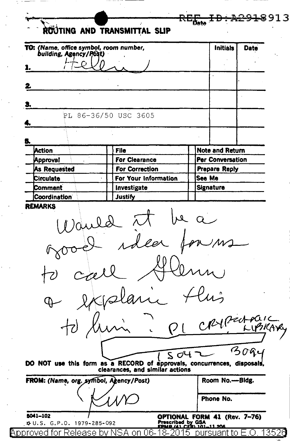|                                                                  | röüting and transmittal slip                                                                               |                         |      |  |
|------------------------------------------------------------------|------------------------------------------------------------------------------------------------------------|-------------------------|------|--|
| TO: (Name, office symbol, room number,<br>building, Agency/Post) |                                                                                                            | <b>Initials</b>         | Date |  |
|                                                                  |                                                                                                            |                         |      |  |
|                                                                  |                                                                                                            |                         |      |  |
|                                                                  |                                                                                                            |                         |      |  |
|                                                                  |                                                                                                            |                         |      |  |
|                                                                  | PL 86-36/50 USC 3605                                                                                       |                         |      |  |
|                                                                  |                                                                                                            |                         |      |  |
|                                                                  |                                                                                                            |                         |      |  |
| Action                                                           | File                                                                                                       | <b>Note and Return</b>  |      |  |
| Approval                                                         | <b>For Clearance</b>                                                                                       | Per Conversation        |      |  |
| As Requested<br>Circulate                                        | <b>For Correction</b><br>For Your Information                                                              | Prepare Reply<br>See Me |      |  |
| Comment                                                          | Investigate                                                                                                | Signature               |      |  |
| Coordination <sup>®</sup>                                        | <b>Justify</b>                                                                                             |                         |      |  |
|                                                                  | dea                                                                                                        |                         |      |  |
|                                                                  | $\omega$                                                                                                   | CRYPENTONE              |      |  |
|                                                                  |                                                                                                            |                         |      |  |
|                                                                  | SO4                                                                                                        |                         |      |  |
|                                                                  | DO NOT use this form as a RECORD of approvals, concurrences, disposals,<br>clearances, and similar actions |                         |      |  |
|                                                                  |                                                                                                            | Room No.—Bidg.          |      |  |
| FROM: (Name, org. symbol, Agency/Post)                           |                                                                                                            | Phone No.               |      |  |

 $\ddot{\phantom{0}}$ 

L,

 $\frac{1}{2}$  .

 $\ddot{\phantom{0}}$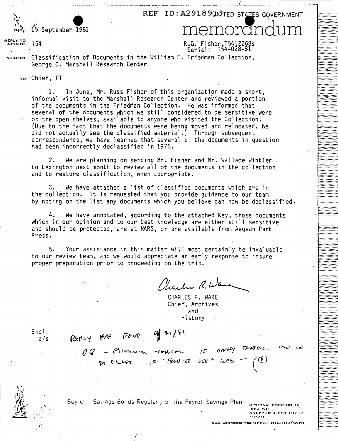REF ID: A29189 LINRIED STAILES GOVERNMENT

H-OOOOO•••OO•O •·················<br>|-················ ...............<br>................ ..................

················· .................

................<br>*............*...

················· ················· ...............<br>................ ················· ................ ················ ••••••••••••••••<br>•••••••••••••••••• ................. ................. ................. ::::::.~.'::::: *:: :.* 

................<br>................ ·················<br>··················

I •••••••••••••••• ...............<br>................

> ................<br>................ ................. . ............... . ................. .<del>................</del>. ··············-·· ...............<br>................ ················ <del>...............</del>

. ............... . ................ .................<br>................. . ............... .

•••u••••••••••• ......**........** 

. .............. . ................

...............<br>............... .................. ...............<br>............... ··················<br>·················· ................. .................

.. ··············~ ················ ................ OOOO•••o•OHOO•OO

...............<br>................ ................. .....•.......... . .............. . ·················<br>···················

.:::::::::::::::: . ::::::::..::::::::· ·················

*:::::::::::::::i* 

15 September 1981 Contes 15 September 1981<br>memorandum

\... ;.~· .. **e** 

REPLY TO T54

 $R.G.$  Fisher, $I54$ , $2268$ s  $Serial: 754-028-81$ 

sualect: Classification of Documents in the William F. Friedman Collection, George C. Marshall Research Center

\_, \_\_\_\_\_\_\_\_ .....\_\_,\_ .·-·-------------:-·-··~- -·- \_\_ ,\_ ··-----~-- --

To: Chief, Pl

1. In June, Mr. Russ Fisher of this organization made a short,<br>informal visit to the Marshall Research Center and reviewed a portion of the documents in the Friedman Collection. He was informed that several of the documents which we still considered to be sensitive were on the open shelves, available to anyone who visited the Collection. (Due to the fact that the documents were being moved and relocated, he did not actually see the classified material.) Through subsequent correspondence, we have learned that several of the documents in question had been incorrectly declassified in 1975.

2. We are planning on sending Mr. Fisher and Mr. Wallace Winkler to Lexington next month to review-all of the documents in the collection and to restore classification, when appropriate.

We have attached a list of classified documents which are in the collection. It is requested that you provide guidance to our team by noting on the list any documents which you believe can now be declassified.

4. We have annotated, according to the attached Key, those documents. which in our opinion and to our best knowledge are either· still sensitive and should be protected, are at NARS, or are available from Aegean Park Press.

5. Your assistance in this matter will most certainly be invaluable to our review team, and we would appreciate an early response to insure proper preparation prior to proceeding on the trip.

 $\mathcal{L}_{\mathcal{A}}$  and  $\mathcal{L}_{\mathcal{A}}$  (  $\mathcal{L}$ 

CHARLES R. WARE Chief, Archives and Hi story

Encl: a/s

 $\mathbb{Z} \times$ 

 $\mathcal{N}$ 

 $PQ = 0$  inventer the case  $1F = 6044$ <br>By Chass. (F them to use and

' / I I --- ---

REPLY POE FOND of 21/FI

Buy U. – Savings Bonds Regulariy on the Payroll Savings Plan <sub>- ортіонац</sub> <sub>г</sub>овміно, іс •REV. 7-76 GSA FPMR .41 CFR 101-11.6 ~O\Q., 12

 $\sigma_{\kappa}$   $\sim$ 

**DU.S. Government Printing Office: 1980-211-153/5373** 

 $6044$  TAGLES.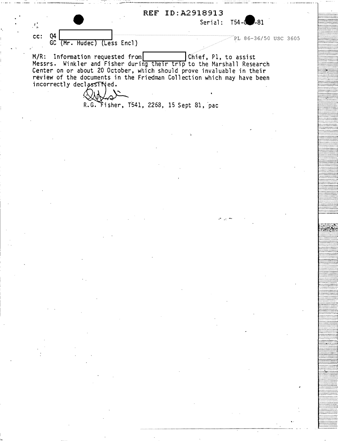

 $M/R$ : Information requested from Chief, Pl, to assist Messrs. Winkler and Fisher during their trip to the Marshall Research Center on or about 20 October, which should prove invaluable in their<br>review of the documents in the Friedman Collection which may have been incorrectly declassified.

R.G. Fisher, T541, 2268, 15 Sept 81, pac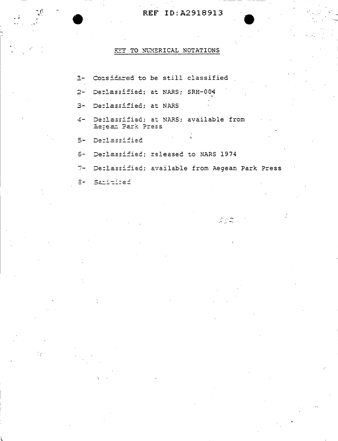## REF ID:A2918913

## TO NUMERICAL NOTATIONS 333.

Considered to be still classified  $\underline{\mathbb{R}}$  - $2-$ Declassified; at NARS; SRH-004 Declassified; at NARS  $3-$ Declassified; at NARS; available from  $\leq -$ Beream Park Press Deplassified  $5-$ Declassified; released to NARS 1974  $5 7-$ Declassified; available from Aegean Park Press

 $\frac{1}{\sqrt{2}}\sum_{i=1}^{n}\frac{1}{\sqrt{2}}\sum_{i=1}^{n}\frac{1}{\sqrt{2}}\sum_{i=1}^{n}\frac{1}{\sqrt{2}}\sum_{i=1}^{n}\frac{1}{\sqrt{2}}\sum_{i=1}^{n}\frac{1}{\sqrt{2}}\sum_{i=1}^{n}\frac{1}{\sqrt{2}}\sum_{i=1}^{n}\frac{1}{\sqrt{2}}\sum_{i=1}^{n}\frac{1}{\sqrt{2}}\sum_{i=1}^{n}\frac{1}{\sqrt{2}}\sum_{i=1}^{n}\frac{1}{\sqrt{2}}\sum_{i=1}^{n}\frac{1}{\sqrt{2}}\$ 

8- Sanitired

 $\mathcal{L}_{\mathcal{A}}$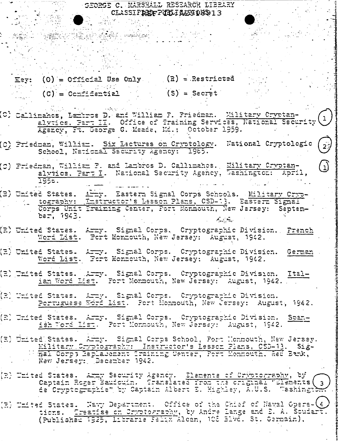GEORGE C. MARSHALL RESEARCH LIBEARY CLASSIFREFPIELIAZG08913

Eey:  $(0) = 0$ fficial Use Only (R) = Restricted  $(C) = C$ criidential  $(S) = Secret$ 

 $\frac{1}{2}$ 

(0) Callimanos, Lamiros D. and William F. Priedman. Military Cryptanalvtics. Part II. Office of Training Services, National Security (1) Agency, Ft. George G. Meade, Md.: October 1959.

(C) Priedman, William. Six Lectures on Cryptology. Wational Cryptologic School, National Security Agency: 1965.

 $\mathbf{L}$ 

(C) Priedman, William F. and Lambros D. Callimahos. Wilitary Cryptanalviics. Part I. National Security Agency, Washington: April, 1958.

(E) United States. Arry. Eastern Signal Corps Schools. Military Cryptography: Instructor's Lesson Plans, CSD-13. Eastern Signal Corps Unit Training Center, Fort Monmouth, New Jarsey: Septem $ber, 1943.$ ್ಲಿ ಲೈ

(E) United States. Army. Signal Corps, Cryptographic Division. Prench Word List. Fort Monmouth, New Jersey: August, 1942.

(E) United States. Army. Signal Corps. Cryptographic Division. German Word List. Fort Monnouth, New Jersey: August, 1942.

(R) United States. Army. Signal Corps. Cryptographic Division. Ital-<br>ian Word List. Fort Monmouth, New Jersey: August, 1942.

(R) United States. Army. Signal Corps. Cryptographic Division. Portuguese Word List. Fort Monmouth, New Jersey: August, 1942.

(R) United States. Army. Signal Corps. Cryptographic Division. Span-<br>And Michael Mord Mism. Port Monmouth, New Jersey: August, 1942.

(E) United States. Army. Signal Corps School, Port Honmouth, New Jersey. Military Cryptography: Instructor's Lesson Plans, CSD-13. Sig-<br>mal Corp; Replacement Iraining Center, Port Monmouth, Red Bank, New Jersey: December 1942.

(R) United States. Army Security Agency. Elements of Orwotography, by (R) United States. Army Security Agency. Elements of Orwotography, by de Cryptographie" by Captain Albert E. Highley, A.U.S. Washington

(E) United States. Navy Department. Office of the Chief of Naval Opera-(4) tions. Creatise on Cryptography, by Andre Lange and D. A. Soudart. (Published 1925, Librarie Felix Alchn, 108 Blvd. St. Germain).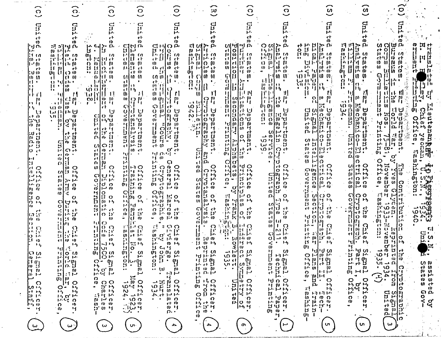|                        | $\Omega$                                                        | $\zeta$                                                                                             | $\Omega$                                                                                 | $\circ$                                                                                                                  | $\bullet$                                                                                                                                                                                                                                                                                                            | ¦IJ                                                                                          | $\Omega$                                                                                                                                                                                                                                                                                                                                                                                                                                  | Q                                                                                                                                                                                             | w                                                                                                                                                    | ഗ                                                                                                              |                                                                                                                                                                                                                                                                                                                     |                                                              |
|------------------------|-----------------------------------------------------------------|-----------------------------------------------------------------------------------------------------|------------------------------------------------------------------------------------------|--------------------------------------------------------------------------------------------------------------------------|----------------------------------------------------------------------------------------------------------------------------------------------------------------------------------------------------------------------------------------------------------------------------------------------------------------------|----------------------------------------------------------------------------------------------|-------------------------------------------------------------------------------------------------------------------------------------------------------------------------------------------------------------------------------------------------------------------------------------------------------------------------------------------------------------------------------------------------------------------------------------------|-----------------------------------------------------------------------------------------------------------------------------------------------------------------------------------------------|------------------------------------------------------------------------------------------------------------------------------------------------------|----------------------------------------------------------------------------------------------------------------|---------------------------------------------------------------------------------------------------------------------------------------------------------------------------------------------------------------------------------------------------------------------------------------------------------------------|--------------------------------------------------------------|
|                        | ូ<br>μ.                                                         | ၟ<br>μ.                                                                                             |                                                                                          | $\Gamma$                                                                                                                 |                                                                                                                                                                                                                                                                                                                      |                                                                                              |                                                                                                                                                                                                                                                                                                                                                                                                                                           | ទ្រ                                                                                                                                                                                           |                                                                                                                                                      | ទ្ជ                                                                                                            |                                                                                                                                                                                                                                                                                                                     |                                                              |
|                        | r t<br>ID.<br>ח ני .<br>1.00                                    | cŀ<br>tD.<br>패 패페 마<br>,ز ۱<br>$\mathbf{w}$<br>``ل)                                                 | w<br>n.<br>ָט.<br>$\frac{1}{2}$<br>Ŀ.                                                    | сŀ<br>1D<br>머니 u                                                                                                         | c t<br>w<br><b>GENOD</b><br>$E$ <sub>H</sub> $\sigma$                                                                                                                                                                                                                                                                | ⊲ ผ<br>$N$ $\sim$                                                                            | cŀ<br>ŢD.<br>p.                                                                                                                                                                                                                                                                                                                                                                                                                           | ന<br>p,<br>ဝ ဖျ<br>-78<br>14,14                                                                                                                                                               | cr<br>Œ<br>31.76<br>Ωí                                                                                                                               | c٢<br>计时间<br>w                                                                                                 | Q)<br>p,<br><b>IQ N</b><br>ដ្ឋ                                                                                                                                                                                                                                                                                      | መ<br>п<br>н                                                  |
|                        | lit ta<br>$\mathbf{w}$ of<br>1 - 1 M                            | 10 <sub>10</sub><br>m<br>! \'  ~1<br>長速であ<br>ト・ハリローの<br>11.<br>w,                                   | 10<br>11 <sub>m</sub><br>O.<br>w<br>13. I.I<br>$\Omega$<br>-e b                          | せまる いちかい<br>-c h<br>c t l<br>$\omega$ or $\omega$<br><i>DWS eF</i>                                                       | 음 여기 유<br>$\boldsymbol{w}$<br>$\mathbf{v}$<br>W.<br>$D_f$ $cl$ $D_f$<br>۲ŀ,                                                                                                                                                                                                                                          | 倍男<br>モト くの<br>かみ<br>∣o w<br>la In<br>$11 - 11 = 11$                                         | $\frac{5}{2}$<br>$\left[0\right]$ $e$ $\left[1\right]$<br>W)<br>(の) 1-2寸(1)<br>$\mathbf{f}$                                                                                                                                                                                                                                                                                                                                               | $\begin{bmatrix} 1 & 1 \\ 1 & 1 \\ 1 & 1 \end{bmatrix}$<br>热似<br>$\mathbf{w}$<br>$\begin{pmatrix} 1 & 0 \\ 0 & 0 \end{pmatrix}$<br>$\Omega$<br>$\mathbf{w}$ $\mathbf{i}$ $\mathbf{-}$<br>-c t | 貴朝 碧棕色<br>也向<br>$\begin{pmatrix} 1 & 0 \\ 0 & 1 \end{pmatrix}$                                                                                       | $\frac{1}{100}$<br>!!!<br>!.Y<br>から売す の<br>ľ1.<br>n ch                                                         | $10^{+10}$<br>$\mathfrak{c}$<br>  IÚ<br>$\ddot{\mathbf{r}}$<br>하명<br>(0 <i>0</i> )<br>ia<br>La<br>m<br>Fi<br>$\boldsymbol{\omega}$                                                                                                                                                                                  | ۱.<br>ا<br>$\frac{13}{14}$ $\frac{13}{14}$ $\frac{13}{14}$   |
|                        | e fr<br>70 (0)<br>lo n                                          | ا -<br>$\mathbf{u}$<br>$  \mathfrak{c} \rangle$ (i)<br>m.<br>(1, 0)<br>τI<br>,,,<br>o               | $1 - 10$<br>** tr<br>'r I 10<br>÷∯⊭                                                      | <b>CEMP</b><br>$(n)$ to to<br>τH<br>$\bullet$                                                                            | ٩U<br>'د !<br>LA ID.<br>ピリ<br>e H                                                                                                                                                                                                                                                                                    | (0, 0)<br>$\mathbf{\mathcal{L}}$<br>M.<br>Œ<br>Я<br>٠<br>8                                   | $\mathbf o$<br>$\mathbf{H}$<br>w<br>(T)<br>O)<br>he e                                                                                                                                                                                                                                                                                                                                                                                     | ·'· (l)<br>(n, n)<br>$\pm 111$<br>ith.                                                                                                                                                        | $\frac{1}{2}$<br>$1 - 0$<br>$\left\langle \theta \right\rangle$<br>  (A<br>$\bullet$<br>VIET STEEP                                                   | $\mathbb{B}$<br>  -'+ (D<br>04<br>n<br>W<br>44<br>ဂူ<br>in L<br>$\bullet$                                      | M<br>ព្វព្រំ<br>1.Je e<br>ן⊶ן                                                                                                                                                                                                                                                                                       | 'N LD                                                        |
|                        | . .<br>0 E 1 I<br>m                                             | !!<br>w<br>٠ı<br>m<br>$\mathbf{r_i}$<br>$1 +$                                                       | . v In<br>AO O<br>w<br>w<br><u>ດາ10</u>                                                  | MID<br>ता । ५<br>(I) ]<br>÷.<br>$m$ (c) $m$                                                                              | m.<br>ו ו<br>rt 11<br>lit n<br>$(0-1)$<br>詐<br>m<br><b>VJ (JI)</b>                                                                                                                                                                                                                                                   | io Allit<br>$\mathbf{U}$<br>Л<br>ာ<br>w                                                      | il:<br>l   1<br>$\parallel \cdot \parallel \cdot \parallel$<br>いっぱい<br>레없                                                                                                                                                                                                                                                                                                                                                                 | ľ,<br><b>WILL</b><br>I۲<br>$\mathbf{e} \in \mathbf{p}$<br>120 Jul<br>l tidiv                                                                                                                  | ・立身地<br>O IIV<br>w<br>$\bullet$<br>1 M                                                                                                               | i.<br>lŀh<br>Կ⊪<br>74<br>٠i<br>m<br>W.<br>-11                                                                  | W<br>$\left  \cdot \right $<br>$\mathbf{r}$<br>$\mathbf{E}$<br>$\left  \frac{1}{4} \right $<br> 5                                                                                                                                                                                                                   | 봄의                                                           |
|                        | m 14<br>1 h.<br>ં\')<br>let (D                                  | m<br>.<br>w<br>AO O<br>ש ייו<br>いせ<br>w<br>An El.                                                   | 11 C C C<br>₹ŀ.<br>С.,<br>$O$ $U$                                                        | ናገ⊡<br>心<br>old<br>$\overline{0}$<br>$\frac{1}{10}$ $\frac{1}{10}$                                                       | ព្យា<br>i e tr<br>jw o 囤<br>O.<br><b>U</b><br>盒 '색]                                                                                                                                                                                                                                                                  | a Chr<br><b>LO F</b><br>40.<br>كا<br>45. J.,<br>斗とト (0)<br>۱۰ ۱                              | t e F<br>$\frac{1}{11}$<br>w<br>li+ ש<br>$1 - 10$<br>$\begin{bmatrix} -1 \\ 0 \\ 0 \end{bmatrix}$                                                                                                                                                                                                                                                                                                                                         | $\omega_1$ $\omega_2$ and $\omega_1$<br>W,<br>₩<br>۹t<br>$\mathbf{1}$<br>;ក្យ ៣៊<br>U                                                                                                         | Cl Ol<br>္ၿပ<br>W.<br>$\Omega$<br>ロー                                                                                                                 | 間の<br><b>NO IP</b><br>်<br>(၁<br>š.<br>$\bullet$                                                               | (D)<br>U)<br><b>BE295</b><br>BE296<br>BE29<br>IJ<br>នៅ អ៊ី<br>សូ សូ                                                                                                                                                                                                                                                 | rien<br>Sig<br>Ö١<br>$\circ$                                 |
|                        | にいい<br> က ည<br>-11<br>にひょれ                                      | (၁''t<br>$\cdot$ $\omega$<br>w<br>$\leq$<br>et et                                                   | $\mathbf{E}$<br>トリひ<br>j.,<br>m<br>くけいけ<br>$\mathbf{E} \cdot \mathbf{S}$<br>$\mathbf{u}$ | ln 'd<br>11   I<br>സ<br>打撞<br>$^{\bullet}$                                                                               | 'ci<br>w<br>м<br>l Mi                                                                                                                                                                                                                                                                                                | ט'ט <br>$\cdot$ . $\omega$<br>$\frac{1}{v}$<br>풀린<br>Þ<br>w,<br>-ch                          | טי פֿן<br>ק'מ<br>$\boldsymbol{\omega}$<br>上川田<br>볡<br>$\boldsymbol{\omega}$<br>屮                                                                                                                                                                                                                                                                                                                                                          | $\boldsymbol{\mu}$ is<br>$ w'$ u<br>$\cdots$ $\omega$<br>w)<br>kw.<br>$^{\bullet}$<br>$\mathbf{u}$<br>S.<br>۱– د۲                                                                             | $\frac{1}{2}$ $\frac{1}{2}$ $\frac{1}{2}$ $\frac{1}{2}$ $\frac{1}{2}$ $\frac{1}{2}$<br>$\mathbf{v}$<br>Ħ<br>$(D \cap N)$<br>سر رم<br>いけ              | <b>Han.</b><br>$\frac{1}{2}$<br>li∸ et                                                                         | H.<br>μ.                                                                                                                                                                                                                                                                                                            | $\omega$<br>トリード<br>ᡕᠰ<br>rh<br>w<br>IJ                      |
|                        | いロ<br>$\boldsymbol{\mathsf{n}}$ iv<br>ر:<br>l م<br>¦O ←         | B<br>ΞÎ<br>$\boldsymbol{\omega}$<br>$\mathbf{v}$<br>Ħ<br>j٠.<br>ဂ+                                  | -11<br>(b<br>ρ.<br>10<br>$\Omega$ :1<br>ıν<br>$10$ $e2$<br>cl j                          | ਹ ਦਾ ਸ<br>0 <sub>c</sub>                                                                                                 | ins<br>Anon<br>Anon<br>Anon<br>$c$ <sup>t</sup> $\omega$<br>$\Box$<br>$\sigma$ $\epsilon$ +                                                                                                                                                                                                                          | U<br>ੈਹ<br>ば し<br>ದ<br>l≺<br>$-1$                                                            | $\begin{bmatrix} 0 & 0 \\ 0 & 0 \\ 0 & 0 \end{bmatrix}$<br>ы<br>ct p<br>$\mathbf{P}$<br>베리<br>ct<br>$\mathbf{r}$                                                                                                                                                                                                                                                                                                                          | $\rightarrow 0$<br>in D<br>10 <sup>14</sup><br>15<br>൛<br>$\tilde{\bm{\omega}}$<br>ば<br>85.<br>$\sim$ $\sim$<br>$\overline{C}$ of                                                             | IJ<br>O.<br>ທ ⊢¶<br>$\mathbf{o}$<br>-0<br>Þ<br>ct.<br>$\mathbf{f}$<br>IJ<br>w<br>त्तीए। त                                                            | ່ດ ຢ່<br>C. 1<br>$\mathbf{H} \times \mathbf{F}$<br>$\mathbf{I}$<br>ដ<br>μŀ<br>하법한                              | ូប<br>លុ<br>$\ddot{\tilde{b}}$<br>Ħ.<br>cl: UN<br>ゖ<br>liy.<br>μ. 1<br>$H.00 -$<br>.et<br>$\overline{0}$ <sup>1</sup>                                                                                                                                                                                               | ်ငံ့<br>ဂ္ဂ<br>g<br>$\mathbf C$<br>٠<br>甩                    |
|                        | 51.<br>$\epsilon$ l O                                           | w<br>et.<br>$\bullet$<br>H<br>w<br>$\Omega$<br>$W$ $\bigcirc$                                       | m<br>сt<br>N<br>ω<br>$\circ$<br>w                                                        | *ul∗<br>Ч<br>ן י<br>비난이                                                                                                  | lự ping x<br>$\boldsymbol{\mathfrak{m}}$<br>н.<br>ດ<br>μ.<br>$D$ is<br>$\mathbf{w}$ $\mathbf{O}$                                                                                                                                                                                                                     | 뎂<br>w.<br>,כו<br>$\frac{1}{\mathsf{D}}$<br>O                                                | 0.15<br>۰,<br>$\mathbf{m}$<br>w<br>$\bigcirc_{\nu}Q'_{\nu}$<br>∣•d O                                                                                                                                                                                                                                                                                                                                                                      | $\Omega$<br>内<br>Φ<br>ึປ.<br>$\overline{\mathbf{C}}$ to                                                                                                                                       | сŀ.<br>エルトレート<br>$ - $ $\omega$<br>w<br>$\Omega$<br>M.<br>$ e $ O<br>ı.,                                                                             | $\mathbf{D}$ (0<br>O                                                                                           | $\mathbf{o}^{\prime}$<br>্ৰ<br>O                                                                                                                                                                                                                                                                                    | រ្តា<br>प्त<br>w<br>$\vec{e}^{\vec{p}}$                      |
|                        | $\mathbf{u} \cdot \mathbf{u}$<br>トートウ<br>.مم م-ا<br>ייי         | $\omega$ is $\sim$<br>$\mathbf{I}$<br>ct  <br>いード<br>ωI<br>$\epsilon$ +<br>റ                        | $\mathbf{H}$<br>$\Omega$<br>ピトリ<br>نر .تر<br>$\mathbf O$<br>$\mathbf{c}$<br>$\Omega$     | 司马马<br>$P[\omega F]$<br>$ g $ is $P$<br>$\alpha$ $\approx$ $\alpha$                                                      | तः में<br>はや<br>ਸ਼ਿਲ੍ਹੇ<br>ਸ਼ਾਹ<br>$(U + h)$<br>ਾਜ ਸਮੇਂ<br>$0H + W$ O                                                                                                                                                                                                                                                | つら<br>ハイ・トリ<br>تمل<br>있었<br>$\Omega$<br>c I                                                  | $1 - 1$ el<br>厚馬<br>$H$ o<br> 3 <br>. ب<br>$\Omega$ -<br>$\Omega$<br>$\Omega$<br>w                                                                                                                                                                                                                                                                                                                                                        | $O$ <sup>1-1</sup><br>$\mathbf{C}$<br>$1 - h$<br>いし<br>この<br><b>;3.</b><br>٠ب<br>59.                                                                                                          | $\Omega_{\rm m}$<br>けす とり<br>ド・トリ<br>$O$ $P$<br>ندر ن<br>≺<br>$\mathbf{H}$<br>$\mathbf{u}$<br>$w$ o<br>$\Omega$                                      | DITTE<br>$\begin{bmatrix} 1 & 0 \\ 0 & 0 \\ 0 & 0 \\ 0 & 0 \end{bmatrix}$                                      | <b>ACH</b><br>马马<br>$\frac{1}{2}$<br>k.<br><u>ດ ໙່</u><br>w<br><b>BOC</b><br>$\ddot{\bm{w}}$                                                                                                                                                                                                                        | Þ<br>$O^*$ rd<br>$\overline{\omega}$<br>توا                  |
|                        | w<br>႕ ၀<br>ローッ                                                 | $\boldsymbol{\omega}$<br>tD  <br>IN 1<br>∙<<br>$\mathbf o$<br><u>ମ</u><br>$\mathbf{H}$              | (ď<br>いし<br>႙<br>ч<br>ដូ<br>$\mathbf o$<br>$D - 1 - 1$                                   | IJ∙ ⊀D<br>$\mathbf C$<br>Ħ<br>巨如<br>ဝ<br>H<br>$1 - 1$                                                                    | $O \rightarrow 0$<br>O(1)<br>那り<br>国号<br>$\frac{1}{1}$ $\frac{1}{1}$ $\frac{1}{1}$ $\frac{1}{1}$ $\frac{1}{1}$ $\frac{1}{1}$<br>$D - F$                                                                                                                                                                              | $c \vdash 0$<br>M<br>$ \mathbb{G} $<br>сI<br>$\circ$<br>CD.<br>$M + b$<br>w                  | <u>ບ'</u><br>۰بر<br>സ<br>$\bullet$<br>ර<br>$\mathbb{R}^2$<br>$1 - 0$<br>$\mathbf{w}$ $\mathbf{v}$<br>$(D + b)$                                                                                                                                                                                                                                                                                                                            | eHd ⊕<br>92.7<br>O.<br>Ωλ<br>$\circ$<br>na bh                                                                                                                                                 | м<br>$H \rightarrow 0$<br>w<br>景<br>ကျပ<br>ひけつち<br>m.                                                                                                | ဂ္ဂုိပ္ ပို                                                                                                    | $rac{6}{9}$<br>$\mathbf{H}$<br>H<br>$\leq$<br><b>W</b><br>١ન.                                                                                                                                                                                                                                                       | O,<br>Þ<br>$\bullet$<br>$\bullet$<br>$\bullet\bullet$<br>hτů |
|                        | w<br>rt,<br>につまご<br>- Ob<br>w                                   | ង<br>អ៊ី<br>$\mathbf{o}$<br>췺[法료<br>ハー・・・ こっか<br>l!ti<br>൜<br>'11                                   | cŀ<br>m<br>मित हो<br>ः<br>0, 3<br>тI<br>w                                                | ।∸∏ਚ<br>$\left  \begin{smallmatrix} 1\\1\\1\end{smallmatrix} \right $<br>$\Omega$<br>Cŀ<br>17<br>w<br>ltf<br>൜           | ດນັດ<br>-cl<br>他 记 (0-45)<br>(0, 1, 0)<br>$\bullet$                                                                                                                                                                                                                                                                  | ف.إ<br>$\frac{1}{2}$<br>-ct<br>$\mathfrak{p}$<br>٠.,<br><b>CD</b><br>4                       | <b>U</b><br>w<br>$\frac{1}{2}$<br>w<br>C <sub>1</sub> .<br>ŗ,<br>ാ വ<br>Ţς.<br>$1 - 1$ <sub>1</sub> (0)                                                                                                                                                                                                                                                                                                                                   | 이국<br>ਰੀਰੇ<br>-e h<br>$ln \left[ \omega \right]$ {2,<br>ता<br>w                                                                                                                               | io di<br>ز.<br>ل<br>त त<br>cŀ<br>ਰ ਵਿ<br>Į.,<br>ŀ₫ Θ.<br>$10 \theta$                                                                                 | $\frac{1}{2}$<br>-cl<br>$\begin{bmatrix} 1 & 0 \\ 0 & 1 \\ 0 & 0 \end{bmatrix}$<br>$\frac{1}{6}$ $\frac{5}{6}$ | in.<br>$\mathsf{C}$<br>ذب<br>$\frac{5}{2}$ $\frac{6}{2}$ $\frac{6}{2}$<br>۱۰ سال ۱<br>1et                                                                                                                                                                                                                           | --00<br>0761<br>274-0<br>1976                                |
|                        | $\mathbf{\Omega}$<br>けい<br>l 1 i 1 i<br>$\mathbf{F}$            | #⊎ L<br>. .<br>11   ! ›'<br>$\mathbf{F}$                                                            | れば<br>C)<br><u>ດ ຕ</u><br>13) LV<br>[ (l) - 1-2+                                         | ிட வ<br>$\mathbf{E}$<br>w<br>m<br>$ U $ $eV$ i-1.                                                                        | $\mathbb{Z}^4$ .<br>း က ဂ<br>w<br>エーエン<br>.ر (<br>₹.<br>$\boldsymbol{v}$ $\boldsymbol{\alpha}$                                                                                                                                                                                                                       | l (n<br>(l)<br>O<br>μ.<br>IJ                                                                 | `U¶'i<br>्रेल, स्मान क<br>$\mathbf{P}$<br>4g)<br>いし                                                                                                                                                                                                                                                                                                                                                                                       | W.<br>w<br>၊ ဂ<br>m.<br>いけず<br>$\left  \zeta \right\rangle$<br>وفرار وب                                                                                                                       | 13. J.I.I<br>M<br>ن دارا<br>C)<br>11.<br>$\boldsymbol{\mathsf{D}}$<br>ीस<br>ĮJ.<br>$\mathbf{z}$<br>핪                                                 | $\omega$   $\gamma$<br>ဂူ<br>耳目前<br>तीत नि                                                                     | <b>O</b><br>[].∪<br>ж,<br>$\bullet$<br>ч÷,<br>-10914<br>$\boldsymbol{\Omega}$<br>$\bullet$<br>$\leq$<br>;3<br>w                                                                                                                                                                                                     | ្អរ<br>ជ                                                     |
|                        | <b>ID</b><br>$\mathbf{r}$                                       | ΠU<br>τU<br>w<br>$1 - h$                                                                            | w<br>ー】 トト<br>w                                                                          | ω<br>2115<br>ŀ۰ŀ<br>Ы.<br>$\circ$                                                                                        | 17. ID<br><b>WA</b><br>O)<br>$+1$<br>$\mathbf{P}$<br>5<br>$c_{\rightarrow}$<br>Ψś                                                                                                                                                                                                                                    | ¦Ω Φ<br>w<br>$(0 + 5)$<br>IJ<br><b>d 'U</b>                                                  | ्रामी से क<br>н<br>O<br>$1 - 1$<br>Z.<br>റ<br>ŢΠ                                                                                                                                                                                                                                                                                                                                                                                          | - 10<br>Οl<br>$\mathsf{I}\mathsf{-}\mathsf{h}$<br>$\bullet$<br>w<br>ŀ۰                                                                                                                        | $5'$ $\omega$<br>$\boldsymbol{w}$<br>13 円- 円<br>U)<br>מז שיוויי                                                                                      | ທ "ເ; <br>$\cdot$  tr<br>- Իկ<br>ч<br>いけい                                                                      | $\ddot{\bullet}$<br>ni Idio<br>IJ<br>$15$ $1 - 5$<br>ರ<br>ឋ<br>ᅭወ<br>ct                                                                                                                                                                                                                                             |                                                              |
|                        | יין ש<br>גז ג<br>$\begin{bmatrix} 1 & 0 \\ 0 & 1 \end{bmatrix}$ | Signa<br>Pricini<br>Fritri                                                                          | $\frac{100}{100}$<br>$\frac{1}{2}$<br>$O -$<br>F <sub>b</sub>                            | $\begin{bmatrix} 0 \\ 1 \\ 0 \end{bmatrix}$<br>č.<br>$\lim_{\substack{a \to 1 \ a}}$<br>$\mathbf{H}$<br>$\bullet\bullet$ | <b>SP 022</b><br>$\frac{5}{2}$<br>$\frac{1}{2}$<br>$\frac{1}{2}$<br>$\frac{1}{2}$<br>$\frac{1}{2}$<br>$\frac{1}{2}$<br>$\frac{1}{2}$<br>$\frac{1}{2}$<br>$\frac{1}{2}$<br>$\frac{1}{2}$<br>$\frac{1}{2}$<br>$\frac{1}{2}$<br>$\frac{1}{2}$<br>$\frac{1}{2}$<br>$\frac{1}{2}$<br>$\frac{1}{2}$<br>$\bullet$ $\bullet$ | Sagnah<br>Setata<br>Trint                                                                    | $\left \frac{1}{2} \sum_{i=1}^{n} \alpha_i \right  \leq \frac{1}{2}$<br>n.<br>본분.                                                                                                                                                                                                                                                                                                                                                         | Si<br>Fee<br>Tee<br>IJ.<br>U.<br>w<br>8<br>$\ddot{B}$                                                                                                                                         | $\frac{13}{20}$<br>$\frac{13}{20}$<br>$\frac{13}{20}$<br>$\frac{13}{20}$<br>$\frac{13}{20}$<br>ี เบ<br>$1 - \omega$                                  | <b>REFE</b><br>Euting                                                                                          | $\frac{1}{2}$ $\frac{1}{2}$ $\frac{1}{2}$ $\frac{1}{2}$ $\frac{1}{2}$ $\frac{1}{2}$ $\frac{1}{2}$ $\frac{1}{2}$ $\frac{1}{2}$ $\frac{1}{2}$ $\frac{1}{2}$ $\frac{1}{2}$ $\frac{1}{2}$ $\frac{1}{2}$ $\frac{1}{2}$ $\frac{1}{2}$ $\frac{1}{2}$ $\frac{1}{2}$ $\frac{1}{2}$ $\frac{1}{2}$ $\frac{1}{2}$ $\frac{1}{2}$ | চ.-<br><b>U</b> M                                            |
|                        | 高<br>د. و<br>مـرا<br>$\Omega$                                   | 出<br>ः ।<br>$\mathfrak{t} \mathfrak{w}$ .<br>(f)<br>IH O                                            | $\frac{1}{2}$<br>$\frac{1}{b}$<br>$\Omega$<br>$\Omega$<br>o<br>٠                         | $\frac{1}{10}$<br>$\frac{0}{10}$<br><b>vold</b>                                                                          | $\mathfrak{w}$<br>il Offi<br>Transi<br>$\begin{array}{c}\n\stackrel{\rightarrow}{\sim} & \stackrel{\rightarrow}{\sim} \\ \stackrel{\rightarrow}{\sim} & \stackrel{\rightarrow}{\sim} \\ \stackrel{\rightarrow}{\sim} & \stackrel{\rightarrow}{\sim} \\ \end{array}$                                                  | $\frac{1}{2}$<br>ď<br>市の<br>$\mathbf{O}$                                                     | <b>ALLES</b><br>$\ddot{u}$                                                                                                                                                                                                                                                                                                                                                                                                                | ₹Ť.<br>He s<br>peal<br>ceal<br>Prin                                                                                                                                                           | $\uparrow$ $\uparrow$ $\uparrow$ $\uparrow$ $\uparrow$<br>$\begin{matrix} 0 \\ 0 \\ 1 \end{matrix}$<br>$\frac{m}{2}$<br>$\Omega$<br>1-1 <sub>1</sub> | トード<br>$\bullet$<br>D<br><b>DISTER</b>                                                                         | $\frac{6.257726}{1934}$<br>$\frac{1934}{1934}$<br>$\frac{1934}{1934}$                                                                                                                                                                                                                                               | Seteriss                                                     |
| $\mathcal{I}^{\prime}$ | <b>U</b> 14<br>응로<br>l∺r o                                      | $\mathbf{r}$<br>$\mathbf{\circ}\cdot$<br>$1 - 1$<br>$\mathbf{H}$<br>$14.0'$ $14$<br>$\Omega$<br>かくさ | $-255$<br>$\mathsf{D} \vdash \mathsf{D}$                                                 | N.<br>$\frac{16}{15} - 10$                                                                                               | $10^{14} + 14^{14}$<br>$\mathbf{p}$ o<br>$\bullet$ $\bullet$<br>$c1$ $0$                                                                                                                                                                                                                                             | $\frac{1}{10}$ $\frac{1}{10}$<br>OHH<br>$\Omega$<br>$1 - 1$<br>$1 - i$ <sub>1</sub> $c + 10$ | $\begin{array}{c}\n\frac{d}{dx} & \frac{d}{dx} & \frac{d}{dx} \\ \frac{d}{dx} & \frac{d}{dx} & \frac{d}{dx} \\ \frac{d}{dx} & \frac{d}{dx} & \frac{d}{dx} \\ \frac{d}{dx} & \frac{d}{dx} & \frac{d}{dx} \\ \frac{d}{dx} & \frac{d}{dx} & \frac{d}{dx} \\ \frac{d}{dx} & \frac{d}{dx} & \frac{d}{dx} \\ \frac{d}{dx} & \frac{d}{dx} & \frac{d}{dx} \\ \frac{d}{dx} & \frac{d}{dx} & \frac{d}{dx} \\ \frac{d}{dx} & \frac{d}{dx} & \frac{d$ | $\mathbf{p}$<br>et 1d o<br>$\mathbf{F}$ , $\mathbf{D}$ , $\mathbf{D}$                                                                                                                         | $1 - i1$<br>21                                                                                                                                       | 总<br>$\Omega$<br>$\Omega$<br>w<br>10                                                                           | Signal<br>United                                                                                                                                                                                                                                                                                                    | $\frac{5}{2}$                                                |
|                        | ∤∽, a<br>w.<br>$^{\prime}$<br>$\bullet$                         | ١D<br>$\Omega$<br>11<br>w                                                                           | $\omega$ $\omega$ $\omega$<br>$15'$ 01 $+1$                                              | $\frac{1}{2}$                                                                                                            | 0 <sub>1</sub><br>$p_{\cdot}$ .                                                                                                                                                                                                                                                                                      | ドロゲ<br>$\overline{10}$ .<br><u>ဂ</u><br>$\bullet$                                            | $\begin{bmatrix} 0 & 0 & 0 \\ 0 & 0 & 0 \\ 0 & 0 & 0 \end{bmatrix}$                                                                                                                                                                                                                                                                                                                                                                       | ਰ ਦਾ ਸ<br>$\tilde{\mathbf{u}}$<br>m<br>$\bullet$<br>$\bullet$                                                                                                                                 | gan<br>Fanada<br>Fanada<br>Banada<br><b>UT</b><br>$\mathbf{I}$                                                                                       | H<br>$\bullet$                                                                                                 | <b>OETEDinic</b>                                                                                                                                                                                                                                                                                                    | $\mathbf{z}$<br>$\begin{array}{c} 1 \\ 1 \\ 2 \end{array}$   |
|                        |                                                                 | س                                                                                                   | س                                                                                        | U1.                                                                                                                      |                                                                                                                                                                                                                                                                                                                      | rs e                                                                                         | o                                                                                                                                                                                                                                                                                                                                                                                                                                         |                                                                                                                                                                                               | U1                                                                                                                                                   | ທ<br>a ka dan yan yang yang di masa kara dai masa da masa masa ma                                              | ω                                                                                                                                                                                                                                                                                                                   | $\mathcal{F}_4$<br>منته بالمسا                               |

м.,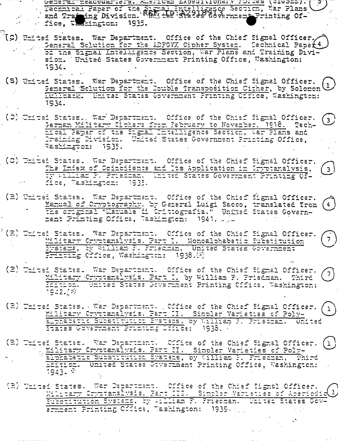Connect Bacquarters. A since Expeditionary Forces (S105257. (2001) Centre of the Street Intelligence Section, War Plans<br>And Framing Division. Ref: the Street Covernment Printing Of-<br>Tice, Techniston: 1935.  $\mathcal{F}$ 

- (C) United States. War Department. Office of the Chief Signal Officer. of the Signal Intelligence Section, War Plans and Training Divi-<br>sion. United States Government Printing Office, Washington: 1934.
	- (S) United States. War Department. Office of the Chief Signal Officer. Seneral Sclution for the Double Transposition Cither, by Solomon (1) Hullback. United States Government Printing Office, Washington: 1934.
	- (C) United States. War Department. Office of the Chief Signal Officer.  $(3)$ Berman Military Citiers from Pebruary to November, 1918. Tech-Hoal Paper of the Signal Hoteldigence Section, War Plans and<br>Praining Division. United States Government Printing Office, Rashimator: 1935.
	- (C) United States. War Department. Office of the Chief Signal Officer. The Index of Coincidence and Its Application in Cryptanalysis, ty while F. Prischan. United States Government Printing Office, Washington: 1935.

3)

 $(4)$ 

 $\overline{7}$ 

 $\left( \begin{array}{c} 7 \end{array} \right)$ 

(1)

- (E) United States. War Department. Office of the Chief Signal Officer.<br>Manual of Cryptography, by General Luigi Sacco, translated from<br>The original "Lamuale is Critiografia." United States Government Printing Office, Waskington: 1941. Jule
- (2) United States. War Department. Office of the Chief Signal Officer. Military Cryptanalysis. Part I. Monoalphabetic Substitution Frinting Cffice, Washington: 1938.18)
- (2) United States. War Department. Office of the Chief Signal Officer. Miltary Cryptenalysis. Part I, by William F. Friedman. Third Hermion. United States Government Printing Cffice, Washington: 1942.[9]
- (2) United States. War Department., Office of the Chief Sigmal Officer.  $\langle 1 \rangle$ Wiltery Cryptemalysis. Part II. Simpler Varieties of Poly-<br>Elphabetic Substitution Bystems, by William F. Friedman. United States Government Printing Childe: 1938.
- (E) United States. War Department. Office of the Chief Signal Officer. Military Cryptanslysis. Part II. Simpler Varieties of Poly-<br>Elphabetic Substitution Systems, by William F. Priechan, Third Echtion. United States Government Printing Office, Washington: 1943. \*
- (R) United States. War Department. Office of the Chief Signal Officer.<br>Williams Cryttanalysis. Part III. Simpler Varieties of Aperiodic<br>Substitution Systems, by Flindam P, Priedman. United States Gov-<br>Ermment Printing Offi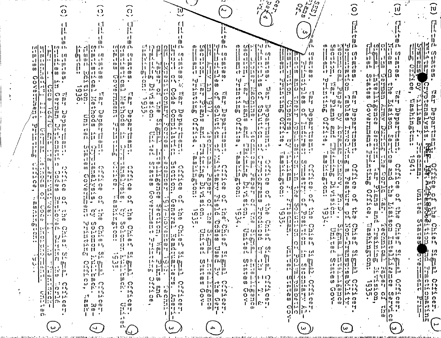| $\Omega$                                                                                                                                                                                                                                                                                                                                                                                         | $\Omega$                                                                                                                                                                                                               | O                                                                                                                                                                                                                                                                                                                                                                                                                                                                             |                                                                                                                                                                                                                          |                                                                                                                                                     | $\mathcal{C}^{\mathbf{p}}_{\mathbf{y}}$<br>$\frac{1}{\sqrt{2}}\frac{1}{\sqrt{2}}$                                                                                                          | $\sum_{\substack{p=1\\p\neq p}}$<br>$\mathcal{L}_{2}$<br>$\mathcal{C}$<br>$\frac{dy}{dy}$                                                                                            | $\widehat{\circ}$                                                                                                                                                         |                                                                                                                                                                                                                                    | ru                                                                                                                                          |
|--------------------------------------------------------------------------------------------------------------------------------------------------------------------------------------------------------------------------------------------------------------------------------------------------------------------------------------------------------------------------------------------------|------------------------------------------------------------------------------------------------------------------------------------------------------------------------------------------------------------------------|-------------------------------------------------------------------------------------------------------------------------------------------------------------------------------------------------------------------------------------------------------------------------------------------------------------------------------------------------------------------------------------------------------------------------------------------------------------------------------|--------------------------------------------------------------------------------------------------------------------------------------------------------------------------------------------------------------------------|-----------------------------------------------------------------------------------------------------------------------------------------------------|--------------------------------------------------------------------------------------------------------------------------------------------------------------------------------------------|--------------------------------------------------------------------------------------------------------------------------------------------------------------------------------------|---------------------------------------------------------------------------------------------------------------------------------------------------------------------------|------------------------------------------------------------------------------------------------------------------------------------------------------------------------------------------------------------------------------------|---------------------------------------------------------------------------------------------------------------------------------------------|
|                                                                                                                                                                                                                                                                                                                                                                                                  |                                                                                                                                                                                                                        |                                                                                                                                                                                                                                                                                                                                                                                                                                                                               |                                                                                                                                                                                                                          |                                                                                                                                                     |                                                                                                                                                                                            |                                                                                                                                                                                      | ۴ľ                                                                                                                                                                        |                                                                                                                                                                                                                                    |                                                                                                                                             |
| - 1141 114<br>t ni ta t<br>             <br>M   M                                                                                                                                                                                                                                                                                                                                                | 품기용 0*<br>-60   10 - 67<br>litik                                                                                                                                                                                       | ₩<br>MM 0:<br>W[w, a<br>रंगीरी स                                                                                                                                                                                                                                                                                                                                                                                                                                              | 운다 B[B]H 0*<br>不相对す<br>M<br>$\left( n \right)$<br>m<br>ΔH<br>U.<br>- e f                                                                                                                                                 | 합 없  읽] 같<br>$\mathbf{D}$<br>せいしつ<br>   O<br>IJ.<br>11 t I<br>τŀ                                                                                    | $\begin{bmatrix} 0 & 0 \\ 0 & 0 \end{bmatrix} = \begin{bmatrix} 1 & 0 \\ 1 & 0 \end{bmatrix}$<br>$\mathbf{u}_1^{\dagger} \mathbf{I}, \mathbf{q}$<br>U + 1<br>-et                           | n,<br>$\eta$<br>$\cup$                                                                                                                                                               | 黄瘤血症<br>O.<br>Ħ<br>$\Omega$<br>$\Omega$<br>-014<br>– ⊩ l∗<br>-11                                                                                                          | ा<br>답예<br>$\mathbf{C}$<br>. J 1,<br>$\eta$                                                                                                                                                                                        | الهالنا<br>  F                                                                                                                              |
| l De alt<br>anton<br>11 H W<br>$\mathbf{u}$<br>m<br>H.<br>0 <sub>i</sub> 1<br>M<br>μ.<br>10 00<br>င္ပူ () ျ<br>n                                                                                                                                                                                                                                                                                 | w<br>r b<br>in Date in<br>$(0 - i)^2$<br>$\frac{1}{2}$ is $\frac{1}{2}$ in the $\frac{1}{2}$                                                                                                                           | $\{0, 1, 1, 10\}$<br>$\left\vert m\right\vert m$ is the $\left\vert m\right\rangle$<br>$1 + 0$<br>やい ゆ                                                                                                                                                                                                                                                                                                                                                                        | 医性周回<br>' t<br>-111<br>$\left 1\right $ $\left 1\right $ $\left 0\right $<br>W<br>री टी<br>m truhi<br>0<br> () (n<br>ri(11) tu<br> w                                                                                     | 품명<br>$\Omega$ $\mathbb{N}$<br>ı٠,<br>la libbet<br>त मि।।<br>40. W<br>$\mathbf{E}$<br>【ドラー(の<br>$\bullet$                                           | (1, 1)<br>$\mathbf{P}$<br>主权主任<br>-o∤o<br>er Minfet, w<br>$\left  \frac{1}{12} \right $<br>   J ທ<br>$\bullet$                                                                             | 합리암<br>せけか<br>14 EF<br>刊刊页<br>11 '* W<br>はゅ<br>$\mathbf{r}_i$                                                                                                                        | 普鲁国昌普。<br>i e 11.<br>$\Omega$<br>  M W<br>$\left  \frac{0}{1} \right  + \frac{1}{1}$<br>n<br>٠                                                                            | $\frac{1}{2}$ ង<br>w<br>$U$ ) $H$<br>n                                                                                                                                                                                             | $\frac{1}{2}$<br>Н)<br> -                                                                                                                   |
| ه الرا<br>O<br>di<br>$ \mathbf{r} $<br>÷.<br>$\ddot{\phantom{a}}$<br>$\Omega$ ::<br>1:<br>$\mathbf{u}$<br>¦w M                                                                                                                                                                                                                                                                                   | j.,<br>$\Omega$ .<br>$\rightarrow$ ch<br>l M-<br>$\overline{O}$ $\overline{P}$ $\overline{I}$ $\overline{I}$<br>920                                                                                                    | $\Omega$ or $\Omega$<br>⊰∣№<br>$\overline{\mathfrak{g}}$<br>司                                                                                                                                                                                                                                                                                                                                                                                                                 | 940 [93]<br>$\bullet$<br>Ł,<br>문이법<br>26<br>$\bullet$<br>방법을 책<br>$\overrightarrow{h}$<br>$\mathbf O$<br>$D \cdot D$                                                                                                     | ≀∪ ⊹<br>$10 +$<br>样明<br>۳<br>l ທ<br>$\mathbf{F}[\mathbf{w}]\mathbf{p}$<br>보니<br>ြ။<br>ကို ဖိုး<br>сŀ                                                | ١U<br> u ∙<br>∵1<br>n<br>H.<br>$\frac{1}{2}$ $\frac{1}{2}$ $\frac{1}{2}$ $\frac{1}{2}$ $\frac{1}{2}$ $\frac{1}{2}$ $\frac{1}{2}$ $\frac{1}{2}$<br> ロ ・5・1<br>еŀ                            | $\bullet$ 1<br>$\mathbb{E}[\mathcal{C}]$ .<br>프레이<br>바라이드 :1<br> ri in ni<br>r t                                                                                                     | ١U<br>$\mathcal{C}$ .<br>$ 0\rangle$<br>IJ.<br> v  <br>w<br>$11 - 11$<br>w<br>せいしゃ<br>cŀ                                                                                  | $\epsilon$   $\mu$<br>70<br>w<br>$\begin{bmatrix} 1 \\ 0 \\ 0 \end{bmatrix}$<br>rŀ.<br> ።<br> <br>ch<br>$\boldsymbol{\theta}$<br>្ដរ<br>ល<br><b>U)</b><br>ឋ<br>اسل                                                                 | ce <sub>1</sub><br>ပၤလ<br>Ч.<br>は<br>- 7<br>ਹੇ<br>ਹ<br>$\mathbf{p}$ .                                                                       |
| $\frac{11}{15}$<br>$\frac{11}{15}$<br>14 H<br>$\frac{1}{2}$<br>c·l·                                                                                                                                                                                                                                                                                                                              | 認息<br>$\bullet$ .<br><br><br><br><br><br><br><br><br>сŀ                                                                                                                                                                | 高度<br>$\begin{array}{c}\n\frac{1}{2} \\ \frac{1}{2} \\ \frac{1}{2} \\ \frac{1}{2} \\ \frac{1}{2} \\ \frac{1}{2} \\ \frac{1}{2} \\ \frac{1}{2} \\ \frac{1}{2} \\ \frac{1}{2} \\ \frac{1}{2} \\ \frac{1}{2} \\ \frac{1}{2} \\ \frac{1}{2} \\ \frac{1}{2} \\ \frac{1}{2} \\ \frac{1}{2} \\ \frac{1}{2} \\ \frac{1}{2} \\ \frac{1}{2} \\ \frac{1}{2} \\ \frac{1}{2} \\ \frac{1}{2} \\ \frac{1}{2} \\ \frac{1}{2} \\ \frac{1}{2} \\ \frac{1$<br>$r$ $ O$ $\tilde{\theta}$<br>וטייט | <b>NO</b> th<br> 11 <br> WB<br>-e f<br>$C_{\text{A}}$ , $C_{\text{B}}$<br>雪地<br>$\left[\begin{array}{c} \frac{1}{2} & \frac{1}{2} \\ 0 & \frac{1}{2} \end{array}\right]$<br> ೧ U<br>တို့ ဖို့<br>ပြ<br>$\bullet$<br>ี (ภ | $ \vec{\omega} $<br>।- 'ਚੀ<br>H                                                                                                                     | 12.1世<br> 2 <br>$ 3 $ 1-1<br> 300<br>$\frac{1}{10}$ $\frac{1}{10}$ $\frac{1}{12}$<br>שיקו<br>$\mathfrak{r}$ is<br>$\circ$ $\mathfrak{m}$ $\cdot$                                           | $\mathfrak{b}$<br>  (n. 1-1<br>IJ.<br>$ \!\!\mathsf{C}\!\!\!\; $<br>国话<br>$\boldsymbol{\theta}$<br>$\frac{1}{2}$<br>'d                                                               | ויי יט ש<br>  (V) 13<br>ਸ਼ ਸੰਬਰ<br>$\mathbf{w}$<br>$\mathbf{u}_1$<br>∣⊢ ਯ<br>b.<br>C/[0, 0]                                                                               | مر<br>$H^{\dagger}$<br>$\mathbf{p}$<br>ဂ၈<br> ິ ເປ<br>$\sigma$ $\alpha$<br>$\frac{1}{2}$ $\frac{1}{2}$ $\frac{1}{2}$ $\frac{1}{2}$ $\frac{1}{2}$<br>(יין I <i>ן א</i> י                                                            | $\mathcal{C}$<br><b>V</b><br>ti<br>p<br>いの<br>. ت<br>اب ہ                                                                                   |
| $\mathcal{L}$<br>V。<br>H c:<br>없음<br>開閉<br>借书                                                                                                                                                                                                                                                                                                                                                    | $\frac{1}{2}$ $\frac{1}{2}$ $\frac{1}{2}$ $\frac{1}{2}$ $\frac{1}{2}$<br>11<br>et<br>$\begin{bmatrix} 0 \\ 0 \\ 0 \end{bmatrix} \begin{bmatrix} 1 \\ 1 \\ 0 \end{bmatrix}, \begin{bmatrix} 1 \\ 1 \\ 1 \end{bmatrix}.$ | ±u∥ w jv<br>-14<br>$^{\prime}$ ( $^{\prime}$<br>開開社                                                                                                                                                                                                                                                                                                                                                                                                                           | ا ا س<br>- 61<br>≀uld -<br>$\mathbb{C}^{0}$<br>1.4.11<br>$\Omega$<br>$\mathbf{L}$<br>ÞТ<br>11 ju<br>  M   I I<br>                                                                                                        | rt M<br>$H - H$<br>14.11<br>开户 01<br>送任<br>0.15 m<br>- Fil Q - et<br>11 C 11                                                                        | アドライ<br>Н,<br>$\begin{array}{l} \begin{array}{l} 1.6 \  \  \, 0 \\ 0.7 \  \  \, 0 \\ 0.00 \end{array} \end{array} \begin{bmatrix} 1.6 \  \  \, 0 \\ 0.00 \  \  \, 0 \\ 0.00 \end{bmatrix}$ | 방향]<br>∣ ⊢+ ற<br>国动员出身<br>ے ، قرا<br>把提升<br>$\begin{bmatrix} 1 & 1 \\ 0 & 0 \end{bmatrix}$                                                                                           | $\lim_{n\to\infty} \frac{1}{n} \approx 0$<br>म्फ्री फ़ीप्त नि<br>नन्नी प्राची प<br>ठ के प्रेडिटी<br>$\mathfrak{p}$ io<br>ŵ                                                | $\begin{bmatrix} 0 & \mu \\ \mu & \nu \end{bmatrix}$<br>H<br>w<br>में में¦न<br>Ħ<br>էլ<br>10<br>$\omega$<br>  t n   1<br>$\mathbf{u}$<br> ⊩Ч<br>IJ.<br>$\Omega$<br>$\mathbf{u}$ $\mathbf{u}$                                       | cshingtm<br>$\frac{p}{\mathbf{p}}$<br>¦ <s<br> <br/>w<br/>H<br/>いっけ<br/>tu,<br/>] in<br/><math>\mathbf{H}</math><br/>٠<br/>l۰.<br/>W</s<br> |
| hein w<br>41.I I.I<br>$\mathbf{m}$<br>I۰<br>a el incon<br>$\rightarrow$ 1 } $\rightarrow$ 1 $\rightarrow$<br>  tij   L^                                                                                                                                                                                                                                                                          | m<br>$ m  \approx 13$<br>副科士                                                                                                                                                                                           | $\mathbf{u}$<br>i H<br>$\overline{1011}$<br>謂是<br>- e F<br>ำ                                                                                                                                                                                                                                                                                                                                                                                                                  | $\left[\cdots\right]$ $\left[\cdots\right]$<br>W<br>「己」(り<br>$\vert u \vert$<br>              <br>$\mathbf{r}$ ( $\mathbf{r}$ ).<br>凯哥伯兰<br>r H                                                                          | G)<br>$\Omega$<br>- 11)<br>→ 開刊2話<br>$\mathfrak{p}_1$ $\cdots$                                                                                      | 33<br>w<br>$\Omega$<br>ाय छ। छ। देम<br>$\bullet$<br>$\mathbb{R}^{\mathbb{N}}$<br>  1   1   1  <br>$\mathfrak{g}$ in $\mathfrak{g}$ in $\mathfrak{g}$                                       | $u = E_{\rm eq}$<br>  0)   1<br>$\vert$ ( )<br>鲁<br>$\mathbf{O}$ at<br>-4 - 4<br>$4.1 - 1$<br>0.1114                                                                                 | न्य सिम्ब<br>18.<br>提到法庭<br>$\cdot$ 1<br>$\mathbf{1}$<br>$10 - 144$                                                                                                       | 计可比<br>함께 4분<br>-e b<br>10 O<br>14 H<br>ĿН<br>IO.                                                                                                                                                                                  | ir bil<br>鄙<br>n) {}                                                                                                                        |
| C.<br>w<br>$\bullet$<br>⇔<br>t id et.<br>  C) り<br>$\mathbf{N}$<br>$\mathbf{u}$<br>1410 H<br>14 O<br>[0,1]                                                                                                                                                                                                                                                                                       | 01<br>¦w ⇔<br>U)<br>$\frac{1}{2}$ $\frac{1}{2}$ $\frac{1}{2}$ $\frac{1}{2}$ $\frac{1}{2}$<br>   - 1 - 1 - 1 -<br>$\bullet$                                                                                             | ान<br>ר או<br>$\mathbf{H}$<br>电射线 重玩<br>エイロコリ<br>0 1.11                                                                                                                                                                                                                                                                                                                                                                                                                       | $\alpha$ along<br>手当 トッ<br> o†⊕ ⊜<br>꼬 一便 이 박<br>'त एप्[]][cF ए\<br>$\omega$ $\omega$ $\omega$ $\omega$ $\sim$ $\omega$                                                                                                  | $\ln \frac{1}{2}$<br>$  u  _1$<br>国际制度局<br>1101<br>ਾਰੀ ਹਾਂ ਸਿ<br>m<br>$ w $ , $\sim$                                                                | 其题具意<br>tn.<br>臣提<br>トオラリ<br>ਤਿ ਗੁੰਦਾ ਹੁੰਦਾ ਸਾ<br>$W$   () $O$<br>ጡ                                                                                                                        | 切 1-401の<br>医圆形<br>計品<br>h   p   p   li   j i<br>0q   li   b   e   i i i<br>(x)                                                                                                      | եր   Լ<br>飞車所<br>$\frac{1}{2}$ $\frac{1}{2}$ $\frac{1}{2}$ $\frac{1}{2}$ $\frac{1}{2}$ $\frac{1}{2}$ $\frac{1}{2}$<br>13 09 F.J<br>$\mathbf{F}$<br>0150<br>$\mathbf{u}_1$ | 1144<br> ¦.)    (0)<br>Ħ.<br>w<br>O<br>$  \cdot  $ $  $ $  $ $  $ $  $<br>$-1$ $+1$<br>$140$ $M$<br>Łł.<br>-!r o <br>$\mathsf{p}$                                                                                                  | W<br>$-17$<br>电记<br>u<br>$\mathbf{v}$ . In ,                                                                                                |
| $\sqrt{ }$<br>$1\cdot$<br>n.<br>$\lfloor w \rfloor$ $\cdot$ :<br>ח ייו<br>(b  <br> ഗസ<br>49<br>$\circ$<br>e4<br>공사 나가 사<br>はり ひ                                                                                                                                                                                                                                                                  | ŀ.<br>$\Omega$<br>∹:∣<br>(n, 0)<br>സ<br>$^{\prime}$ f i<br>[≱J√<br>;≸l ທ ⊖                                                                                                                                             | ∹ ဂ<br>w<br>$\sqrt{a}$ $\omega$<br>٠<br>$\mathbf{F}^{\mathbf{r}}$<br>$\therefore$ to $\circ$                                                                                                                                                                                                                                                                                                                                                                                  | $\omega$<br>  (ပ<br> ი ი<br>$\frac{1}{2}$ $\frac{1}{2}$ $\frac{1}{2}$ $\frac{1}{2}$ $\frac{1}{2}$ $\frac{1}{2}$ $\frac{1}{2}$ $\frac{1}{2}$<br>$O$ $O$<br>$\Omega$<br>- 4                                                | ה דיןטיט ה<br>$Q \rightarrow \overline{Q}$<br>†∹, o<br>H<br>‼ 5.<br>ס ני<br>$\left[11,11\right]$<br>$\boldsymbol{\omega}$ $\boldsymbol{\omega}$     | 아 유행한 호<br>អ៊ី <u>ដូ</u><br>⊒alm o<br>ほせ<br>$\boldsymbol{\theta}$<br>$\boldsymbol{w}$<br>$\Omega$                                                                                          | $r$ O<br>eŀ.<br>. I 1<br>$\mathbf{H}^{[1]}$<br>$\boldsymbol{\theta}$<br>$\mathbf{o}$<br>$\left  \frac{1}{2} \right $<br>$13 -$<br>$\ddot{\phantom{0}}$<br>$\circ$<br>$O$ $H_1$<br>٠ų | セマ<br>ിധറ<br>τŀ<br>ه د ترا<br>o<br>B<br>w<br>$\boldsymbol{\omega}$<br>5.<br>しょと<br>$\ddot{\bullet}$<br>'레류 이<br>トイート<br>' 1                                               | ΰï<br>1 L L<br>$\Omega$<br>$\begin{array}{c} \n\bullet \quad \text{in } \mathbb{R}^n \\ \n\bullet \quad \text{in } \mathbb{R}^n \text{ is } \mathbb{R}^n \end{array}$<br>马恩<br>$\mathbf{U}$ $\mathbf{O}$<br>ŀ٠                     | <b>Did</b><br>ļΔ.<br>C:<br>ΗÌ                                                                                                               |
| 1:1 +5<br>υı l<br>$\sim$<br>$\mathcal{S}$<br>ros.<br><b>SO</b><br>œ.<br>11 de maio 11 de maio 11 de maio 12 de maio 12 de maio 12 de maio 12 de maio 12 de maio 12 de maio 12 de maio 1<br>12 de maio 12 de maio 12 de maio 12 de maio 12 de maio 12 de maio 12 de maio 12 de maio 12 de maio 12 de maio<br>٠,<br>$\bullet \bullet$<br>∣റ :ാ'<br>$\mathbf{D}$<br>ı,<br>$\mathbf{u}$<br>$\sim$ 00 | - 14<br>[J -<br>ιU<br>ដាច់ថា<br>रा प्ले ३३<br>$\omega$                                                                                                                                                                 | $w -$<br>- 1-15<br>ω<br>prințiek<br>ਜ਼ਿਆਰ ਹ<br>Ħ.<br>$\mathbf{D}$                                                                                                                                                                                                                                                                                                                                                                                                             | ናን ዞኑ<br>luol<br>≺.<br>Ŵ<br> מזטי<br>ادد<br>$\square$<br>Ħ,<br>ு  ∼ <br>-cF<br>$\Omega$<br>(U) {3)<br>$\mathbf{u}$<br>$\mathbf{c}$ t<br>불길 보고 00                                                                         | उन्हें । जुलै का<br>$\rightarrow$ O<br>ドラ トト<br>15.01<br>$\epsilon$ r p $\epsilon$ }<br>$\mathbf{12}^{\prime}$<br>-0<br>い・<br>$\vec{Q}^{\, \prime}$ | $\mathbf{F}$<br>- F<br>$\rightarrow$ 0<br>10 pr<br>$10 \beta$<br>er∏er ov<br>े भ<br>О<br>• سا                                                                                              | ∣ഗ∣<br>H<br>$1 - h$<br>ΙÓ.<br>وفرار المسد<br>$30 \times 11$<br> 'd ¦ɔ'<br>ζÎ,<br>ا ۱۵ سا<br>O 0                                                                                      | 仍.<br>١Ŭ<br>ーロー<br>ď<br>10(11)<br>∤∢)<br><u>ы</u><br>い・・<br>$1 - 5$ $\omega$                                                                                              | $\omega$<br>$\overline{P}$ $\overline{N}$<br>$\mathsf{L}$<br>$\mathbf{P}$ ch<br>$\mathbf{F}$<br>ဂ္ဖ<br>w<br>$\overline{\mathbf{B}}$ .<br>۲T.<br>٠<br>$1 - 1$ (i)<br>n                                                              | <b>PESSES</b><br>r٠<br>(U<br>Ω.                                                                                                             |
| m<br>0u<br>(1, C)<br>₹U,<br>$\cdot$<br>O(11)<br>セノドハ<br>11 O<br>$\cdots$ $\mathbb{R}^n$<br>13. W                                                                                                                                                                                                                                                                                                 | מו טי<br>$\circ$ $\circ$<br>Ħ<br>やまか<br>13 O FM<br>$e$ F [J $=$ 0)                                                                                                                                                     | $01$ $U2$<br>ri o O<br>$Q = 1 - 1.3$<br>首立臣<br>$\cdots$ [1 $\omega$                                                                                                                                                                                                                                                                                                                                                                                                           | (0, 1)<br>$\bullet$<br>w<br>$\mathbf{E}$ O<br>₹,∣<br>רי יו<br>$-13$<br>$\mathbf{B}$<br>l ttr l<br>इस हिन<br>u<br>$\bullet$<br>'∪'<br>$\omega$ $\omega$<br>$\mathbf{U}$                                                   | $\ddot{\mathbf{v}}$<br>XH.<br>$\sigma$ $\sigma$<br>့င္၊ ကျပားအျ<br>督 网络鱼科<br>$1 - (\mu_1)$ (0 $-\mu$ )                                              | (0) いて)<br>Ą.<br>$\Sigma$ $\Sigma$<br>$C_{n}^{n}(n)$ of $P$<br>$\mathbb{E}[\mathbf{1}, \mathbf{1}^{\dagger}]$ to the<br>$ D+1 $<br>$\mathbf{i}$ $\mathbf{v}$ $\mathbf{v}$                  | रंग धारत<br>$\sqrt{2}$<br>$\frac{5}{12} \left  \frac{1}{12} \right  \frac{1}{12} \cdot \frac{1}{12}$<br>기름 [1개 1개<br>$O$ $Q$                                                         | -1<br><b>Chile</b><br><b>Print</b><br>$\boldsymbol{\omega}$<br>$C$ $\tilde{F}$<br>$\left[\begin{smallmatrix} 1 & 0 \\ 1 & 1 \end{smallmatrix}\right]$<br>$\dots$          | $\mathbf{r}$<br>$\frac{1}{2}$ $\frac{1}{2}$ $\frac{1}{2}$ $\frac{1}{2}$<br>$\circ$ $\circ$<br>1:3<br>$\frac{1}{2}$<br>49.<br>In.<br>$\Omega$<br>$\left[\frac{1}{2}, \frac{1}{10}, \frac{1}{12}\right], \frac{1}{12}, \frac{1}{12}$ | $\frac{5}{5}$<br>$\frac{1}{5}$<br>$\frac{1}{5}$<br>$\frac{1}{5}$<br>$\frac{1}{5}$<br>$\frac{1}{5}$<br>  j.a. j.a.<br>rl.<br>$Q$ $Q$<br>€U   |
| 0 <br>再开<br>$  \ddot{\phi}  \ddot{\phi}  _{\infty}$<br>二重し<br>$\ r_1\ $<br>AC PH                                                                                                                                                                                                                                                                                                                 | 科の時<br>14 TS<br>$\boldsymbol{u}$<br>C9.<br>世中                                                                                                                                                                          | O <sub>1</sub><br>$\mathbf{1}$<br>-01<br>$\ddotsc$<br>so this                                                                                                                                                                                                                                                                                                                                                                                                                 | 月期<br>  ധ   µ) - 1 5<br>$\lim_{n\to\infty} \frac{\ln\left \frac{1}{n}\right }{\ln\left \frac{1}{n}\right }$<br>1明片 所<br>rt.                                                                                              | त । । एक<br>$\omega$ in $\sim$ 1<br>12. E40 U<br>∣ ∩ → I → •<br>の下心の                                                                                | еŀ.<br>$\begin{bmatrix} 0 & 0 \\ 0 & 0 \end{bmatrix}$ $\begin{bmatrix} 1 & 0 \\ 1 & 0 \end{bmatrix}$<br>のトトロけ                                                                              | O              <br>C.111<br>ी। ९ क<br>Ħ<br>[다리코디아]<br>$\mathbf{F}$<br>- 07<br>10<br>€Ī                                                                                               | - ju [1:3-1:15<br>$\mathfrak{c}^{\dagger}$<br>$\omega$<br>ч<br>$\mathbf{D}$<br>$\mathbf{m}$ $\boldsymbol{\omega}$<br>ほぼ<br>ŀЧ                                             | $\mathbf F$<br>tś.<br>ju.<br>l ch<br>$1.9$ $\Omega$ $\mu$ to<br>U١<br>$\lceil 3 \rceil$ ) $\lceil 1 \rceil$ ) $\lceil 1 \rceil$<br>$\cdot$<br>01 回回01                                                                              | 0山1.5 1马<br>$\Omega_{\rm eff}$ is:<br>$\frac{1}{3}$ $\frac{1}{10}$ $\frac{1}{10}$                                                           |
| $\cdot$<br>開言單<br>r.<br>$\mathbf{u}$<br> 1:  ir ju <br>33<br>  ()   1<br>ń.<br>i ti<br>Ŀ.                                                                                                                                                                                                                                                                                                        | 常的<br>का में पर<br>からかしり<br>$\sigma$ $\mu$                                                                                                                                                                             | いせい<br>AB 1944<br>・コナ極<br>(1, 1)<br>w                                                                                                                                                                                                                                                                                                                                                                                                                                         | 14月0回的<br>용 [패피] [1]<br>한 파일을 통<br>ÞЕ.<br>O <sub>0</sub>                                                                                                                                                                 | 76. IV<br>m tilutió<br>한 ण[국구<br>00 I 1                                                                                                             | 在日日 [5]<br>$\mathfrak{g}(\mathfrak{g})$ , is a particular for $\mathfrak{g}(\mathfrak{g})$<br>et wi<br>ゆまれまの                                                                               | li-to k<br>w<br>र भी ल<br>իս իս<br>固位や<br>क्रांचे ० ऱ                                                                                                                                | 요리 말 법<br>pravlač pr<br>テトコーの コー<br>$\mathbf{w} + \mathbf{w}$                                                                                                             | ρ<br>t;<br>ا مرا<br>古创页层<br>÷.<br>可审批<br>ユドッロ 〇                                                                                                                                                                                    | triest in<br>出事 臣<br>lt M-<br>$\omega$ o                                                                                                    |
| ∶∶ຕ<br>十〇 三万<br>0<br>(中に回り)の<br>품이다.n<br>$\alpha\in\mathbb{R}^n$                                                                                                                                                                                                                                                                                                                                 | $\omega$ o $\Omega$<br>コトリコリ<br>м.<br>$\mathbf{H}$<br>$\bullet$<br>27.<br>ولايا                                                                                                                                        | ი ი<br>おこりか<br>$\cdot$ 1-4<br>p.<br>$\Omega$                                                                                                                                                                                                                                                                                                                                                                                                                                  | ு ம<br>14,<br>医尿 机三次因子三大板<br>$\begin{array}{ccc} 2 & 0 & 0 & 0 \\ 0 & 0 & 0 & 0 \\ 0 & 0 & 0 & 0 \\ 0 & 0 & 0 & 0 \end{array}$                                                                                           | の トイナ つ<br>エリロン ヒリーン<br>G010 15<br>$Q = \{0\}$ $H^2$<br>< ଧ ଘ ତ                                                                                     | 4년 - 1월<br>w<br>$\mathbf{P}^{\mathbf{A}} = \mathbf{P}^{\mathbf{A}}$<br>$\mathcal{O}(M)$   $\vdash$ 3 $\vdash$ $\vdash$<br>$Q \omega   \cdot \rangle Q$<br> 3 <br>- CD                      | 하하!! ㅇ<br>$\mathbf{p}$ [[a] (b) U)<br>$c +  0  + 6$<br>$\begin{bmatrix} 0 & 0 & 1 \\ 0 & 0 & 1 \end{bmatrix}$                                                                        | ω トハ σ' Ω<br>$(0)$ $1 - 11$<br>$\mathcal{L}$ (0) $\mathcal{L}$ (1)<br>$0.13$   $\cdot \cdot \cdot$<br>$\Omega$ <sub>r</sub> $\Omega$<br>รี                                | $\Delta O$ $(n+1)$ $(0+1)$<br>ωH.<br>-14<br>$\overline{U}$ o $\overline{O}$ o $\overline{M}$<br>$\cdot$ $\theta$ $\cdot$ $\theta$ $\alpha$                                                                                         | 레벌로<br>10 Pr                                                                                                                                |
| W<br>۱۰ م<br>$\mathbf{1}$<br>.,<br>w<br>n.<br>٠                                                                                                                                                                                                                                                                                                                                                  | W.<br>O<br>$\omega$ to $\omega$<br>11, 0, 11<br>$\mathbf{1}$                                                                                                                                                           | $C^*_i$ (0)<br>1111<br>he e<br>e۴                                                                                                                                                                                                                                                                                                                                                                                                                                             | 11] g = 0<br>٠<br>स्थित छ<br>$\mathbf{F}$                                                                                                                                                                                | $\Omega$ or $\Omega$<br>$\mathbf{I}$<br>하나 보<br>$\mathbf{1}$                                                                                        | î<br><b>Tole</b><br>O.<br>$\bullet$                                                                                                                                                        | $\mathbf{r}$<br>- AD<br>うっこう<br>بيزارها<br>$\mathbf o$<br>≺                                                                                                                          | $\omega$ $\sim$ $\omega$<br>Ħ<br>$\bullet$                                                                                                                                | $\sum_{i=1}^{n}$<br>$\bullet$<br>гI<br>l)'<br>ίÙ<br>I٥<br>l tv                                                                                                                                                                     | peers<br>Fissing<br> ਖ਼<br>Jn                                                                                                               |
| <u>, describir for Sono Morro Pressor ses constituitats al conservación </u>                                                                                                                                                                                                                                                                                                                     | $\overline{ }$                                                                                                                                                                                                         | O.<br>ω.<br>19892224444                                                                                                                                                                                                                                                                                                                                                                                                                                                       | ω<br>さししか はましし さき<br><b>STATISTICS</b>                                                                                                                                                                                   | 4<br>والأرامين والكواسط ستكشفوا الالاران                                                                                                            |                                                                                                                                                                                            | ω                                                                                                                                                                                    | ω                                                                                                                                                                         | الى<br><u> 1939-1941 (1941-1941), 1941-1941 et exemployen de l'époche de l'experience de la card departiel de le card de mond</u>                                                                                                  | ⊶                                                                                                                                           |

 $\begin{array}{c} \begin{array}{c} \cdot \\ \cdot \\ \cdot \end{array} \end{array}$ 

 $\sim 100$ 

were caused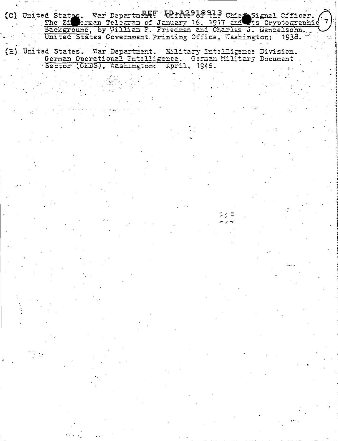(C) United States. War Department: Write 918913 Chief Signal Officer.<br>The Zioerman Telegran of January 16, 1917 and ts Cryptographic<br>Background, by William P. Priedman and Charles J. Mandelsonn. United States Government Printing Office, Washington: 1933.

タッコ

(E) United States. War Department. Military Intelligence Division. German Operational Intelligence. German Military Document.<br>Sector (GEDS), Washington: April, 1946.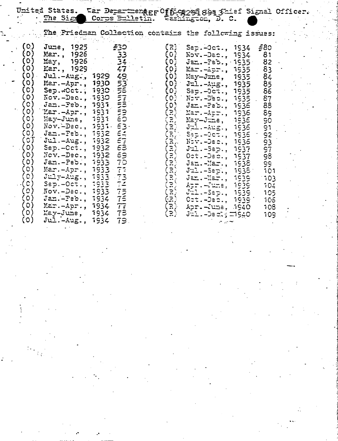|                                                                                                                                                                                    |                                                                                                                                                                                                                                                                                                                                                                                                                                                                                                                                                                                                                                                              |                                                                                                                                                                                                                                                                         |                                                                                                                                           | United States. Far Deparmenger Offica2091894 3hief Signal Officer.<br>The Signal Corps Bulletin. Washington, D. C.                                                                                                                                                                                                                                                                                                                                                                                                                                                      |                                                                                                                                                                                                              |  |
|------------------------------------------------------------------------------------------------------------------------------------------------------------------------------------|--------------------------------------------------------------------------------------------------------------------------------------------------------------------------------------------------------------------------------------------------------------------------------------------------------------------------------------------------------------------------------------------------------------------------------------------------------------------------------------------------------------------------------------------------------------------------------------------------------------------------------------------------------------|-------------------------------------------------------------------------------------------------------------------------------------------------------------------------------------------------------------------------------------------------------------------------|-------------------------------------------------------------------------------------------------------------------------------------------|-------------------------------------------------------------------------------------------------------------------------------------------------------------------------------------------------------------------------------------------------------------------------------------------------------------------------------------------------------------------------------------------------------------------------------------------------------------------------------------------------------------------------------------------------------------------------|--------------------------------------------------------------------------------------------------------------------------------------------------------------------------------------------------------------|--|
|                                                                                                                                                                                    |                                                                                                                                                                                                                                                                                                                                                                                                                                                                                                                                                                                                                                                              |                                                                                                                                                                                                                                                                         |                                                                                                                                           | The Friedman Collection contains the following issues:                                                                                                                                                                                                                                                                                                                                                                                                                                                                                                                  |                                                                                                                                                                                                              |  |
| $\left( 0.000\right)$<br>(0)<br>(0)<br>(0)<br>$\left( \circ \right)$<br>(0)<br>$\circ$<br>(0)<br>(0)<br>(0)<br>(0)<br>(C)<br>(C)<br>(C)<br>$\circ$<br>(0)<br>(၀)<br>$\circ$<br>(0) | June, 1925<br><b>Mar., 1926</b><br>$Hzy$ , 1926<br><i>Kar.</i> , 1929<br>$(0)$ Jul.-Aug., 1929<br>(0) Mar.-Apr., 1930<br>$(O)$ Sep. Oct., 1930 55<br>$(0)$ Nov.-Dec., 1930<br>$Jan.-Feb., 7937$<br><b>Exar.-Apr., 1931</b><br>May-June, 1931<br>$\text{Nov.}-\text{Dec.}, \text{ 1931 - }53$ .<br>(0) Jan.-Peb., 1932 64<br>$(0)$ Jul.-Aug., 1932<br><b>Sep.-Cct., 1932</b><br>Nov.-Dec., 1932<br>Jan.-Peb., 1933 70<br>Mar.-Apr., 1933 71<br>$Ju1y - Aug.$ , 1933 73<br>$Sep.-0c\bar{t}$ ., $1933$<br>Sep.-Oct., 1933 74<br>Nov.-Dec., 1933 75<br>$Jan.-Peb., 1934$<br>Mar.-Apr., 1934 77<br><b>May-June, <math>1934</math> 78</b><br>$Jul.-Aug., 1934 79.$ | F30 and the field of the set of the set of the set of the set of the set of the set of the set of th<br>33<br>47<br>49 <sub>1</sub><br>53<br>$\frac{1}{100}$ (1) $\frac{1}{100}$<br>$\epsilon$ o<br>$\epsilon_{\overline{\mathit{u}}}$<br>$\epsilon$ 3<br>69.<br>$75 -$ | (3)<br>(O)<br>(0)<br>(O)<br>$\left( 0 \right)$<br>(0)<br>(3)<br>(3)<br>$(\mathbb{R})$<br>$\overline{z}$<br>$(\mathbb{R})$<br>( R )<br>(3) | Sep.-Oct., 1934<br>$Kov = Des.$ , 1934<br>$J$ an. -Peb., $\cdot$ 1935 $\cdot$<br><b>Ear.-Apr., 1935</b><br>May-June, 1935<br>(0) Jul.-Aug., 1935<br>$(0)$ Sep.-Oct., 1935<br>$(0)$ Nov. -Dec., 1935<br>$Jz$ <b>n.</b> $-Fz$ b., $1936$<br>Mar.-Apr., 1936<br>May-June, 1936<br>(R) Jul.-Aug., 1936<br>(R) Sep.-Oct., 1936<br>(R) Nov.-Dec., 1936<br>Jul.-Sep., 1937<br>$0$ ct.-Dec., 1937<br>Jan.-Mar., 1938<br>Jul.-Sep., 1938 .<br><b>Jan. -Mar., 1939</b><br>Apr. –June, 1939<br>$J_21.-Sep., 1939$<br>$0$ ct.-Dec., 1939'<br>Apr.-June, 1940<br>Juli -Deci ; ITISAO | $\frac{.58}{.02}$<br>81<br>82<br>83<br>84<br>85<br>86<br>87<br>88<br>$\epsilon$<br>90 <sub>o</sub><br>91<br>92<br>93<br>97<br>98<br>$\tilde{\epsilon}$<br>101<br>103<br>104<br>$105 -$<br>105<br>108.<br>109 |  |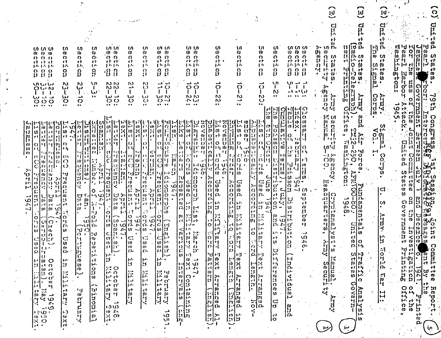.<br>∪  $\widehat{\mathsf{h}}$ 브  $\mathbf G$ ដូ 없  $\overline{\overline{H}}$ **Unit** e lŧŀ rŀ - t  $\frac{1}{10}$ <br>  $\frac{1}{10}$ <br>  $\frac{1}{10}$ <br>  $\frac{1}{10}$ <br>  $\frac{1}{10}$ Ŵ Pearl Barbons in II. decen  $\frac{1}{9}$ HOL p. ပ္ပ<br>() 'n. ŀd ທທ ო ო **SV** ζŊ, ທ ທ ທ  $(0, 0)$ (၈<br>ဂ ഗ ഗ Ω, ſΩ h» ທ ທ ທ CΩ  $\Omega$  $\Omega$ Ŵŀ. ίŪ  $\overline{0}$  $\overline{0}$  $\tilde{v}$  $\tilde{v}$ (U  $\ddot{\mathbf{u}}$  $0.0010$  $\boldsymbol{\theta}$ w  $\mathbf{w}$   $\mathbf{w}$  $\mathbf{0}$   $\mathbf{0}$  $\ddot{\mathbf{v}}$  $\ddot{\mathbf{v}}$  $\mathbf{\hat{U}}$ Ö)  $\mathbf{u}$ cticn  $\begin{array}{c} 0.0000 \\ 0.000 \\ \frac{1}{100} \frac{1}{100} \frac{1}{100} \end{array}$ Ñ  $\frac{0}{16}$ n  $\overline{O}$  $\overline{O}$ រ<br>អ **S** Ó  $\Omega$  $\Omega$   $\Omega$  $\Omega$ ιn  $\Omega$ O  $\Omega$ <sub>O</sub> റ  $\Omega$  $\Omega$  $\Omega$  $\begin{matrix} 0 & b \\ 0 & b \end{matrix}$ हो हो।<br>|हिन्दी 斗 र्हा हो।<br>क्रिकेट र्ने. ch rŀ ćŀ ्री।<br>लि r I. έŀ c I et et rŀ रो रो रो  $\tilde{a}$  $\frac{1}{2}$  $\mathbf{v}$ ωw Ñ.  $14.14$ րուլ և լիե  $1J<sub>1</sub>$  $\mathbf{L}$  $\mathbf{p}$  $1.11$ stes.  $\mathbf{G}$ .<br>นิ 14 ct اری۱  $\frac{0}{11}$ ន្ទ្រ Ω<br>Ll ပ္ပ  $\Omega$ rt<br>W cŀ មួ ρ, 43 3 o<br>D  $\Omega$ ß  $\Omega$ អូ ្អូ 0<br>Լ  $\Omega$  $\Omega$ ्ती<br>प्रा Earbor 吇  $\boldsymbol{\omega}$ w Ŭ. Ĥ بُر<br>ان **in U** w ់<br>ពូ  $\begin{array}{c} \n\mathbf{L}_1 & \mathbf{L}_2 & \mathbf{L}_3 \\ \n\mathbf{L}_2 & \mathbf{L}_3 & \mathbf{L}_4 \\ \n\mathbf{L}_3 & \mathbf{L}_4 & \mathbf{L}_5 \\ \n\end{array}$  $\bullet$ أباليو <u>ី</u> ភី  $\ddot{\circ}$ ١Л  $\sim$ **A**  $N(N)$  $\mathbf{N}$  $\mathbf{N}$ いいいい N က်<br>() **NW**  $\ddot{\Omega}$ Government<br>Se of the Ö  $\overline{a}$  $\circ$ တ  $\mathbf{I}$ h>  $\ddot{\phantom{a}}$ ترا い  $\mathbf{I}$ دے いいい ETEDI)<br>ETEDI) ٠ï  $\mathcal{T}$  $\mathbf{I}$  $\mathbf{I}$ Ť  $(n_1$  $\mathbf{1}$  $\mathbf{I}$ L  $\mathbf{I}$  $\mathbf{I}$ V)  $\mathbf{I}$  $\mathbf{I}$  $\mathbf{I}$ 1. اما  $\frac{1}{91}$ **Amry** Corps **Amry** H.  $\ddot{c}$ in<br>D<br>O ∷.  $\bullet$   $\bullet$ .. 'n, رن<br>د  $\tilde{c}$ いぃぃ  $\overset{\text{\tiny{(N)}}}{\circ}$  $\sim$  and  $\sim$  $\bullet\bullet$ سا هد いつ **WIN**  $N$   $N$  $\boldsymbol{\mathsf{N}}$  $-27 - 7$ **vo** ာ စ်ဝ  $(3 - 1)$ ندا ۱۰۰  $\mathbb{N}$ .. Ħ 1945.  $\tilde{\mathbf{r}}$  $\ddot{\phantom{a}}$  $......$ ..  $\ddot{\bullet}$  $\ddot{\phantom{a}}$  $\ddot{\phantom{0}}$  $\ddot{\phantom{a}}$  $\bullet \bullet$  $\bullet\bullet$ **Happe**  $\begin{bmatrix} 1 \\ 0 \\ 0 \end{bmatrix} \begin{bmatrix} 1 \\ 0 \\ 0 \end{bmatrix}$  $\ddot{\phantom{0}}$ ् 'ت <u>Gerican</u> .tack. **Inte** 高功  $\bullet$ **Escure** pu. Con  $\overline{a}$  $\bullet$  . District<br>Feut  $\ddot{\delta}$  $\begin{bmatrix} 1 & 1 \\ 0 & 1 \end{bmatrix}$  $\frac{1}{2}$ しけい  $\ddot{\ddot{\delta}}$ 문 (이동)]<br>문 [1] 문]<br>모 [1] 문] 1년 년 년<br>10년 9년<br>11년 년 1월 |¦∵!<br>|} **Doiled**  $|\mathbf{r}|$ ្ត<br>ព្រំ<br>អូ  $\begin{bmatrix} 0 \\ 0 \\ 0 \end{bmatrix}$  $\sigma$ ъ٠.  $\omega$   $\times$  $\frac{1}{2} = \frac{1}{2}$ **C** ¦i→. ้ เภ čυ  $\boldsymbol{\omega}$ (b l (n  $\mathbf{w}$ Ċ1  $\boldsymbol{\omega}$ マド بتزانيا ÏЛ ้เก  $\Omega$ | tn  $\boldsymbol{w}$ げ  $(n)$  $\sum_{i=1}^{n}$ Χ  $\mathbf{f}$ ٠. l'n  $\mathbf{m}$ Ŵ  $\mathsf{c}\mathsf{l}$  $\mathbf{C}$  $\boldsymbol{\gamma}$ 'n۱: ď. ្លាំ it). l r J  $\mathbf{o}$ (M  $\frac{0}{3}$ آجا Ó M lėt ίÚ el.  $\mathbf{o}$  $\mathbf{c}$  $\omega$  $\mathbf{D}$  $\mathbf{d}$  $\omega$ - O  $\mathbf{d}$ ا ج ا l:3' гŀ ا دا ا د  $\overline{\mathbf{S}}$ त  $\mathbf{c}$  $\mathfrak{g}$ l e t t ei b ÆЛ Ŵ jm.<br>40 信道  $\bullet$  $\mathbf{r}$ ň۱ m ŵ 13 н, hte [ or ] Ы Ġ 다 | 1<br>| 1, 미<br>| ...  $\begin{bmatrix} 1 & 1 \\ 0 & 0 \end{bmatrix} \begin{bmatrix} 1 & 1 \\ 0 & 1 \end{bmatrix}$ lo  $\Omega$  $\mathbf{o}$  $\Omega$  $\Omega$  $\ddot{\mathbf{c}}$ w  $\begin{bmatrix} 1 & 1 \\ 1 & 1 \end{bmatrix}$ Ĥ  $\overline{O}$  $\Omega$  $(n +$ łi i  $|U|$  $\mathbf{c}$ Ù  $\mathbf{w}$  $\Omega$  $\overline{\mathbf{u}}$  $\Omega$ ynii  $\mathbf{L}$ !י<br>!י i dhe 西担星  $\Omega$ l (h  $\mathbf{\hat{w}}$  $\mathbf{P}$  $14<sub>1</sub>$  $\mathbf{u}$ U |in<br>|in ្ល់ ងូ<br>|<br>| O អ្ |ဂူ<br>|-ją.  $H$  $\Omega$ ĤП 信 高麗  $\overline{\Omega}$  $\mathcal{L}^1$ τЧ  $\mathbf C$ eŀ.  $\ddot{\mathbf{u}}$ ŵ  $\frac{1}{\Omega}$ ίo ίö  $\ddot{\bullet}$ ြက်<br>(၁ lav Ó  $\bullet$ ١,  $\frac{1}{11}$ **COENTY** ŀ. 'n۱ i.n  $\mathbf{\dot{O}}$  $\mathbf{\dot{u}}$ Ĥ  $\Omega$ Þт ר⊕ ŢÚ. ି (ମ Ĥ  $\mathbf{\hat{a}}$ lo.  $\Omega$  $\Omega$  $\Omega$  $\mathsf{C}$  $\mathcal{C}$ w ၊ (၂  $\sum_{i=1}^{n}$ (ဂ w m - 4 ا، م Ŵ G,  $\begin{bmatrix} 1 & 1 \\ 1 & 1 \\ 1 & 1 \end{bmatrix} \begin{bmatrix} 1 \\ 1 \\ 1 \end{bmatrix}$ ing<br>Angles (ast Ö٠, بہائ<br>بہائ Vį, က် 11  $\frac{1}{12}$  $\mathbf{\hat{N}}$ ٠, | O  $\ddot{\mathbf{O}}$   $\ddot{\mathbf{0}}$ ngton:  $\bullet$ ذ،ا 많음 د :  $\mathbf C$ ŧΰ 13  $\left| \cdot \right|$  $\overline{u}$  $\overline{O}$ Ŀ. ာ ۰., **Handi** ນ<br>ເມື່ອງ<br>ກ ۰J  $\| \cdot \|$ 44 Ġ n. i l m, ó. ri. ςĩ liJ にい  $|\vec{E}|$ ُری state ון<br>ני  $\boldsymbol{\theta}$  $\overline{0}$  $\ddot{\bm{\theta}}$  $|\ddot{v}|$ تز ٠'n  $\ddot{\bullet}$  $\ddot{\bm{u}}$ ・ローリー<br>- ローリー  $\left|\begin{smallmatrix} \omega \\ \omega \end{smallmatrix}\right|$  $\frac{1}{2}$ いの ֛׀ׇׇ֛֛֛֛֛׀<br>׆֛֡֓֓֓֓֓׀ j.,  $\sigma$ **U)**  $\mathbf{F}$  $\mathbf{p}$  $I - I$ :រ ٠., w **Acco** aing ESCRI 远の **22100-80**  $<sup>1</sup>$ </sup> ï۵. ō  $\mathbf{u}$   $\mathbf{v}$ ြို့<br>မြ リゴート<br>(D чj け<br>(0 ្លុង 3589 n 1997<br>| 1997<br>| 1997  $\overline{\mathfrak{D}}$ . ie de. ်းမြ **ួ**<br>0  $\frac{1}{2}$ l≺ ္ပြင္ပ  $m$ j., ionoro  $(0)$ | Ai  $\Omega$ .  $\vec{\omega}$ casa Fri lo. ΙQ  $\mathbf{h}$  $\overline{10}$  $\mathcal{L}_{\bullet}$ O.  $\frac{13}{12}$ k)  $\mathbf{c}$ **Gaad**<br>Daaa<br>Daa  $\Box$  $\sigma$   $\sigma$  $\rightarrow$   $\omega$ W. ECH  $\cdot$  $\mathbf{\bar{0}}$  $\Omega$ ∽' Ò  $\cdot$ **BREAT**  $\frac{1}{2}$ 'n  $\frac{94}{10}$ د، ام  $\left\vert \begin{matrix} \ddot{n} & \dot{b} \ \dot{\Omega} & \ddot{c} \end{matrix} \right\vert$ さい<br>Prid<br>デザ ن'<br>د ا  $\Omega$  $|o|$ p Ω. .<br>ما ίU  $H_1(\Omega)$ ان• ြို  $\Omega$ **L**  $|\mathbb{S}_{\mathfrak{m}}|$ | ic **REVOIT** ្លួង ន្ទ្រ<br>ទី  $\frac{1}{\Omega}$   $\frac{1}{\nu}$ .  $3761$ <br>1948  $\ddot{\mathbf{o}}$ ٠IJ  $\bar{p}$ an. Ū 9ć ٠Ţ٠  $\mathbf{c}$ ا: ا  $\frac{1}{2}$  $\frac{1}{2}$ ה<br>נו .مزا μ. 哥 ηJ.  $\Omega$ نر<br>۱-۰  $\omega$ ch et ti l٠  $\ddot{\mathbf{c}}$  $\mathbf{r}$  $|r|$  $\sim 1$ निवि  $\left| \mathbf{B} \right|$ 层 b jЯ. overnnent  $\mathbf{r}$ Đ  $\mathbf{r}$ Ω  $\omega$  $\boldsymbol{\omega}$ **Rales**  $\ddot{\phantom{0}}$  $\mathbf{m}$ ١w **sc** w dis. ά  $rac{1}{2}$ riori<br>Ford  $\ddot{\phantom{0}}$ 打 ķπ, امرز  $: \mathbb{R}$ in ch رجا  $\mathbf{I}$ 4.  $\circ$ renely |더<br>"  $\mathbb{E}[\alpha]$ 振 ŧз ||<br>||... ¦o  $\frac{10}{100}$ **RETER** ð. ö  $010$  $\boldsymbol{\omega}$ hч. W  $\mathbf{o}$  $\begin{bmatrix} 1 \\ 0 \\ 0 \end{bmatrix}$  $\overline{\mathbf{o}}$  $\sqrt{3}$ Ō  $\overline{2}$ ب 日 į٦, ίω  $\overline{0}$  $c<sup>+</sup>$ ۱., (Մ)∣  $\omega$  $\overline{c}$ ١y فسا ក ٠, ဟ  $\sum_{i=1}^{\infty}$  $\overline{54}$  $\begin{bmatrix} 1 \\ -1 \\ 1 \end{bmatrix} \begin{bmatrix} 1 \\ 1 \end{bmatrix}$ ing<br>an Eni  $\boldsymbol{\omega}$  $\mathbf{o}$ ہ | ان  $[0, 1]$ 忖 سأتسرأ Ö. へい  $\Omega$ 42.  $\mathbf{u}$ **ETBA** ت) ا Ĕ  $\begin{bmatrix} 1 & 1 \\ 1 & 1 \end{bmatrix}$ ىز  $\leq$ ာ (၁)<br>၁ Inve  $\boldsymbol{\theta}$ IJ ¦o|⊦∿ w  $\boldsymbol{\mathsf{u}}$ ¦iu ้ เภ  $\boldsymbol{\theta}$ H lerani<br>Lerrici liarch  $\Omega$  of  $\left[\frac{L}{2}$  $\frac{1}{2}$  $\mathcal{L}_{\mathcal{A}}$  $\boldsymbol{\omega}$ Ĵ٩ pri e  $|e|$ ပ္ပါဒ l۳) فت ٠U  $\overline{\phantom{0}}$ Ę.  $\sigma$ 三回  $\mathbf{v}_1$ cŀ **1. SO r** O, w cŀ ë.  $\overline{v}$  $(9)$   $\cdots$ C,  $C<sub>1</sub>$ י-⊓¦∷)  $\frac{\sum_{i=1}^{n} a_i}{\sum_{i=1}^{n} a_i}$ 削 ैं| प  $\ddot{\bm{u}}$  $\frac{0}{11}$  $\frac{1}{\omega}$   $\left| \frac{1}{\omega} \right|$  $|y|$  i.e. ناآن  $\mathcal{A}$ tb.  $\mathbf{o}$  $\boldsymbol{\theta}$ J) łσ w  $\boldsymbol{\mathcal{D}}$  $\left| \cdot \right|$ **SO**  $\mathfrak o$  $|w|$  in  $\Omega$  $\sigma$  $\mathsf{D}$  $1 - I_2$ റ Ιú  $\ddot{\mathbf{u}}$ **TO** erigarion<br>Printing  $\tilde{\mathbf{u}}$  $\Omega$  $\mathbf u$  $\cdot$ 1 rumo D. ici.  $|0|$ 杆菌  $\overline{\mathfrak{p}}$  $\dddot{\mathbf{p}}$  $\omega$ l et -15 .<br>נ-ו י י  $\frac{1}{2}$ ان۲ ر ان ωl r3  $\mathbf{o}$ o, .ز | ، 'در  $\ddot{\mathbf{u}}$ 円 ้ษว pur<sub>1</sub> ╎╷╵<br>│╷╵  $\Omega$  $\begin{bmatrix} 1 & 1 \\ 1 & 1 \\ 1 & 1 \end{bmatrix}$ 訂 ង<br>ស្ថិ  $rac{1}{9}$  $\vec{v}$  $H<sub>1</sub>$  $\mathbf{f}$  $H_{\mathcal{I}}$ ÌЗ. μ. μ.  $\mathbf{u}$ H  $\omega$  $|e+$ μ.  ${\bf w}$ <u>ဝ</u>  $\sum_{i=1}^{n}$  $\mathbf{v}$ ٽر is. ÌЗ ΪD lX. M.  $1 - i<sub>2</sub>$ IJ н<br>И <u>ທ</u> IJ . ب Ħ |ທ<br>|၈ ÎΙ insia. **۱**۵۰ ုး ၀<br>ဂ.ျ Ë  $\omega$ .  $e<sub>1</sub>$ j٠,  $194$ ò. ပ္ပ်  $\epsilon$  $\frac{10}{15}$  $\sigma$ ង្វ<br>វ្ 景<br>[3. to]  $\ddot{\mathbf{u}}$  $\bar{v}$ Нĥ **Fee**  $\mathbf{1}$ 14 j٦. وبالمنا  $|\vec{u}|$ لہ l Pa E.  $\overline{\mathcal{E}}$ |¦;  $\frac{1}{2}$ Arten)<br>Kristi .<br>• سو  $\mathbf{r}$  $\Omega$ |អូ<br>|ដ Ωó  $\boldsymbol{\omega}$  $\overline{1}$   $\overline{1}$   $\overline{1}$   $\overline{1}$   $\overline{1}$  $\ddot{\omega}$  $\boldsymbol{\omega}$ د. ا  $\mathbf{U}$ **Alistri**<br>Alistri  $\left\vert \frac{1}{1-\epsilon}\right\vert$ ij<br>O  $\mathbf{v}$  $\Omega$ |j., پ  $\mathbf{i} \cdot \mathbf{o}$  $\mathbf{H}$ **DE**  $\mathbf{L}$ -če iri<br>M  $\frac{1}{2}$ ငှ H e tr ŀ۰. l∺  $c^{\dagger}$   $\Omega'$ JJ. Ч ranged in<br>Tinglich  $\dot{z}$  $\frac{0}{1}$ 11.T  $\frac{1}{2}$ **Anal** Office  $\mathbf{R}$ Vizer. **Hadri**  $|\vec{v}|$  $\frac{1}{2}$  $\overline{\mathbf{0}}$ tyt  $\mu$   $\omega$ l ct ٠g rŀ  $\dddot{\mathbf{u}}$ ÷  $\frac{1}{2}$  $|\mathbf{H}|$ र्पु म  $\boldsymbol{\mathsf{u}}$  $\mathbf{v}$ Varn  $\tilde{\mathbf{u}}$ .تم וב | فسد Frin  $\ddot{\mathbf{g}}$ inoni Amry فسا m  $\circ$ ان.<br>پ prusty  $\frac{1}{2} \frac{1}{2} \frac{1}{2} \frac{1}{2} \frac{1}{2} \frac{1}{2}$ en<br>11e 원 이 lo e Ħ  $\mathbf{r}$ т. ៲គលី  $\sum_{i=1}^{n}$ ကြ<br>(၂)<br>(၂) Ч łО IJ.  $\widehat{w}$  $-10$  $\frac{1}{2}$ <br> $\frac{1}{2}$ <br> $\frac{1}{2}$ <br> $\frac{1}{2}$ <br> $\frac{1}{2}$ IJ ct 4 ravo i د 1.)  $|\mathfrak{c}^{\mathsf{t}}|$  $\overline{3}$ התרון<br>היו į., еŀ  $\overline{v}$  $\begin{bmatrix} 0 & 0 \\ 0 & 0 \\ 0 & 0 \end{bmatrix}$  $\begin{bmatrix} \vec{v} \\ X \end{bmatrix}$  $\mathbf{\tilde{v}}$ w Ω 'n۱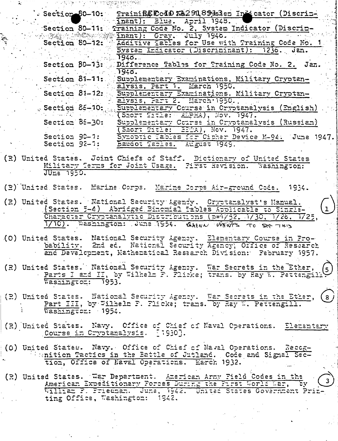|                                  | Section 80-10: Trainificulare 182918913sem Indicator (Discrime<br>(inant): Blue. April 1948.                                           |
|----------------------------------|----------------------------------------------------------------------------------------------------------------------------------------|
|                                  | Section 89-11: Fraining Code No. 2, System Indicator (Discrin-                                                                         |
|                                  | inant): Gray. July 1948. The seat                                                                                                      |
|                                  | Section 80-12: Additive facles for Use with Training Code No.                                                                          |
|                                  | System Indicator (Discriminant): 1236. Jan.<br>1940                                                                                    |
|                                  | Section 80-13: Difference Tables for Training Code No. 2. Jan.                                                                         |
|                                  | .19:5.                                                                                                                                 |
|                                  | Section 81-11: Supplementary Examinations, Military Cryptan-<br>Elysis, Part 1. Harch 1950.                                            |
|                                  | Section 81-12: Supplementary Examinations, Military Cryptan-                                                                           |
|                                  | <b>Elysis, Part 2. March 1950.</b>                                                                                                     |
|                                  | - Section 86-10: Supplementary Course in Cryptanalysis (English)                                                                       |
| Section 86-30:                   | (Short Title: ELPHA), Nov. 1947.<br>Supplementary Course in Cryptanalysis (Russian)                                                    |
|                                  | (Sacrt Title: EPTA), Nov. 1947.                                                                                                        |
| Section 90-1:                    | Synoptic Rables for Cipher Device M-94: June 1947.                                                                                     |
| Section 92-7:                    | Baudot Tables. August 1949.                                                                                                            |
|                                  | (R) United States. Joint Chiefs of Staff. Dictionary of United States                                                                  |
|                                  | Military Terms for Joint Usage. Pirst Revision. Washington:                                                                            |
| <b>JULE 1950.</b>                |                                                                                                                                        |
|                                  | (2) United States. Harine Corps. Marine Corps Air-ground Code. 1934.                                                                   |
|                                  |                                                                                                                                        |
|                                  | (R) United States. Hational Security Agendy. Cryptanalyst's Manual.                                                                    |
|                                  | (Section 5-4) Abridged Binomial Tables Applicable to Single-                                                                           |
|                                  | Character Cryptanalytic Distributions (p=4/32, 4/30, 1/26, 1/25,<br>1/10). Essington: June 1954. GHAN WHATS TO SECTING                 |
|                                  |                                                                                                                                        |
|                                  | (O) United States. National Security Agency. Elementary Course in Pro-                                                                 |
|                                  | bability. 2nd ed. National Security Agency, Office of Research<br>and Development, Mathematical Research Division: February 1957.      |
|                                  |                                                                                                                                        |
|                                  | (R) United States. National Security Agency. War Secrets in the Ether,                                                                 |
|                                  |                                                                                                                                        |
| Washington: 1953.                |                                                                                                                                        |
|                                  | (2) United States. Eational Security Agency. War Secrets in the Ether,<br>$\mathbf{3}$ $\mathbf{j}$                                    |
|                                  | Part III, by Wilhelm P. Plicke; trans. by Ray W. Pettengill.                                                                           |
| Washington: 1954.                |                                                                                                                                        |
|                                  | (R) United States. Navy. Office of Chief of Naval Operations. Elementary                                                               |
| Course in Cryptanalysis. [1930]. |                                                                                                                                        |
|                                  |                                                                                                                                        |
|                                  | (O) United States. Navy. Office of Chief of Naval Operations. Recog-<br>Whition Tactics in the Battle of Jutland. Code and Signal Sec- |
|                                  | tion, Office of Haval Operations. March 1932.                                                                                          |
|                                  |                                                                                                                                        |
|                                  | (R) United States. War Department. American Army Field Codes in the                                                                    |
|                                  | American Expeditionary Forces During the First World War, by<br>William F. Friedman, June, 1942. United States Government Prin-        |
| ting Office, Washington: 1942.   |                                                                                                                                        |
|                                  |                                                                                                                                        |
|                                  |                                                                                                                                        |
|                                  |                                                                                                                                        |
|                                  |                                                                                                                                        |
|                                  |                                                                                                                                        |

 $\frac{1}{2\pi}$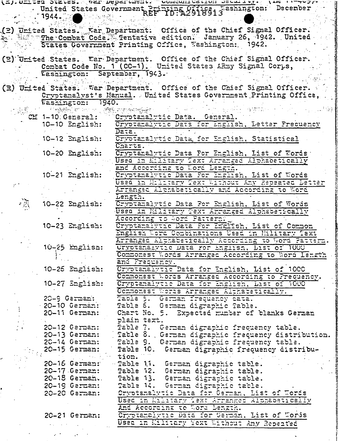|       |    |                           |                   | <u>ובן מבדבפם 2012-22 של מקור מפספותחמוני. המשתמחות הפוזמה הפומידולויה ואת הוכל מונ</u> |
|-------|----|---------------------------|-------------------|-----------------------------------------------------------------------------------------|
|       |    |                           |                   | United States Government Printing Office, "ashington: December                          |
|       |    | $\sim$ 1944. $\sim$       |                   |                                                                                         |
|       |    |                           |                   |                                                                                         |
|       |    |                           |                   | (2) United States. Far Department: Office of the Chief Signal Officer.                  |
| 85. L |    |                           |                   | "The Combat Code." Tentative edition. January 26, 1942. United                          |
|       |    |                           |                   | States Government Printing Cffice, Washington: 1942.                                    |
|       |    |                           |                   |                                                                                         |
|       |    |                           |                   |                                                                                         |
|       |    |                           |                   | (2) United States. War Department. Office of the Chief Signal Officer.                  |
|       |    |                           |                   | Combat Code No. 1 (CC-1). United States ARmy Signal Corps,                              |
|       |    |                           |                   | Washington: September, 1943.                                                            |
|       |    |                           |                   |                                                                                         |
|       |    |                           |                   | (E) United States. War Department. Office of the Chief Signal Officer.                  |
|       |    |                           |                   | Cryptanalyst's Manual. United States Government Printing Office,                        |
|       |    |                           | Eashington: 1940. |                                                                                         |
|       |    | <b>Land Here (21)</b>     |                   |                                                                                         |
|       |    |                           |                   | CE 1-10 General: Cryptanalytic Data. General.                                           |
|       |    |                           |                   |                                                                                         |
|       |    | 10-10 English:            |                   | Cryptamalytic Data for English, Letter Prequency                                        |
|       |    |                           |                   | $D$ <i>z</i> $\overline{z}$ .                                                           |
|       |    | $10-12$ $\text{Imglish:}$ |                   | Cryotamalytic Data for English, Statistical                                             |
|       |    |                           |                   | Charts.                                                                                 |
|       |    | $10-20$ English:          |                   | Cryptanalytic Data For English, List of Words                                           |
|       |    |                           |                   | Used in Eilitary Text Arranged Alphabetically                                           |
|       |    |                           |                   | and According to Word Lenath.                                                           |
|       |    | 10-21 English:            |                   | Cryptanalytic Data For English, List of Words                                           |
|       |    |                           |                   | Used in Military Text Without Any Repeated Letter                                       |
|       |    |                           |                   |                                                                                         |
|       |    |                           |                   | Arranged Althabetically and According to Word                                           |
|       |    |                           |                   | Length.                                                                                 |
|       | 痛。 | 10-22 English:            |                   | Cryptamalytic Data For English, List of Words                                           |
|       |    |                           |                   | Used in Ellitary Text Anranged Alphabetroally                                           |
|       |    |                           |                   | According to Word Pattern.                                                              |
|       |    | 10-23 English:            |                   | Cryptanalytic Data For Emalish, List of Common                                          |
|       |    |                           |                   | English Word Combinations Used in Hilltary Text                                         |
|       |    |                           |                   | Arranged Althabetically According to Word Pattern.                                      |
|       |    | $10-25$ $mg$ lisn:        |                   | Unyptanalytic Data ror English, List of 1000                                            |
|       |    |                           |                   | Commonest Words Arranged According to Word Iength.                                      |
|       |    |                           |                   | and Prequency.                                                                          |
|       |    | 10-25 English:            |                   | Cryptanalytic Data for English, List of 1000                                            |
|       |    |                           |                   | Commonest Words Arranged According to Precuency.                                        |
|       |    | $10-27$ English:          |                   | Cryptenalytic Data for English, List of 1000                                            |
|       |    |                           |                   | Commonest Words Arranged Alphabetically.                                                |
|       |    |                           |                   | Table 5. German Prequency cata.                                                         |
|       |    | 20-9 German:              |                   |                                                                                         |
|       |    | $20 - 10$ German:         |                   | Table 6. German digraphic Table.                                                        |
|       |    | $20-11$ German:           |                   | Chart Ho. 5. Expected munber of blanks German                                           |
|       |    |                           |                   | plain text.                                                                             |
|       |    | 20–12 German:             |                   | Table 7. German digraphic frequency table.                                              |
|       |    | $20-13$ German:           |                   | fable 8., German digraphic frequency distribution.                                      |
|       |    | $2C-14$ German:           |                   | Table 9. German digraphic frequency table.                                              |
|       |    | 20-15 German:             |                   | Table 10. German digraphic frequency distribu-                                          |
|       |    |                           |                   | tion.                                                                                   |
|       |    |                           |                   | 20-16 German: Table 11. German digraphic table.                                         |
|       |    |                           |                   | 20-17 German: Table 12. German digraphic table.                                         |
|       |    |                           |                   | 20-18 German. Table 13. German digraphic table.                                         |
|       |    |                           |                   |                                                                                         |
|       |    |                           |                   | 20-19 German: Table 14. German digraphic table.                                         |
|       |    | $20-20$ German:           |                   | Cryptanalytic Data for German, List of Words                                            |
|       |    |                           |                   | Used in Killtary Text Arranged Alphabetically                                           |
|       |    |                           |                   | And According to Word Length.                                                           |
|       |    | 20-21 German:             |                   | Cryptanalytic Data for German, List of Words                                            |
|       |    |                           |                   | Used in Military Text Without Any Repeated                                              |

 $\ddot{\phantom{0}}$ 

k,

Ĩ,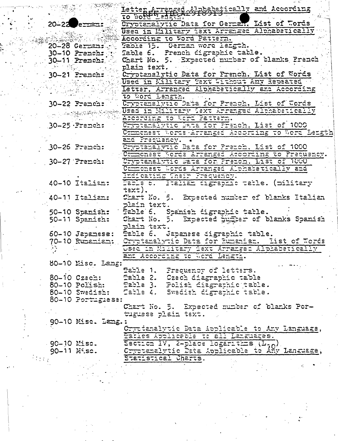|        |             |                          | Letter Arranged & Packetically and According                      |
|--------|-------------|--------------------------|-------------------------------------------------------------------|
|        |             |                          |                                                                   |
|        |             | $20 - 22$ $e^{-2}$       | Cryptanalytic Data for German. List of Words                      |
|        |             |                          | Used in Ellitary fext Arranged Alphabetically                     |
|        |             |                          | According to Word Pattern.                                        |
|        |             | 20-28 German:            | Table 15. German word langth.                                     |
|        |             | $30-10$ Prench: $40$     | Table 6. Prench digraphic table.                                  |
|        |             | $30-11$ French:          | Chart No. 5. Expected number of blanks Prench                     |
|        |             |                          | plain text.                                                       |
|        |             |                          | 30-21 French: Cryptanalytic Data for French. List of Words        |
|        |             |                          | Jused in Kilitary Taxt Without Any Rapaated                       |
|        |             |                          | Letter, Arranced Alphabetically and According                     |
|        |             |                          | to Word Length.                                                   |
|        |             |                          | Cryptamalytic Data for Franch, List of Words                      |
|        |             | $30-22$ Franch:          |                                                                   |
|        |             | 2009年4月                  | m.Dsed in Military Text Arranged Althabetically                   |
|        |             |                          | According to Word Pattern.                                        |
|        |             | $.30-25.$ French:        | Cryptanalytic Data for Prench, List of 1000                       |
|        |             |                          | Commonest Words Erranged According to Word Length                 |
|        |             |                          | ama Presuency.                                                    |
|        |             | $30-26$ Prench:          | Cryptanalytic Data for Premeh, List of 1000                       |
|        |             |                          | Comonest Words Arrenged According to Prequency.                   |
|        |             | $30-27$ Prench:          | Oryptanalytic Data for French, List of 1000                       |
|        |             |                          | Commonest Words Arranged Alphabetically and                       |
|        |             |                          | Indicating Their Precuency.                                       |
|        |             | 40-10 Italian:           | Table 6. Italian migraphic table. (military                       |
|        |             |                          | $t = x t$ ).                                                      |
|        |             | 40-11 Italian:           | Chart No. 5. Expected number of blanks Italian                    |
|        |             |                          | plain text.                                                       |
|        |             |                          | 50-10 Spanish: Fable 6. Spanish digraphic table.                  |
|        |             | 50-11 Spanish:           | Chart No. 5. Expected Suffer of blanks Spanish                    |
|        |             |                          | plain text.                                                       |
|        |             | $60 - 10$ Japanese:      | fable 6. Japanese digraphic table.                                |
|        |             | 70-10 Rumenian:          | Cryptanalytic Data for Rumanian. Hist of Words                    |
|        |             |                          | USED in Military Text Arranged Alphabetically                     |
|        |             |                          | and According to Word Length.                                     |
|        |             | 80-10 Misc. Lang:        |                                                                   |
|        |             |                          |                                                                   |
|        |             | 80-10 Czech:             | Fable 1. Frequency of letters.<br>Fable 2. Czech diagraphic table |
|        |             |                          |                                                                   |
|        |             |                          | 80-10 Polish: Fable 3. Polish diagraphic table.                   |
|        |             |                          | 80-10 Swedish: Cable 4. Swedish digraphic table.                  |
|        |             | 80-10 Portuglass:        |                                                                   |
|        |             |                          | Chart No. 5. Expected number of blanks Por-                       |
|        |             |                          | tuguese plain taxt.                                               |
|        |             | 90-10 Misc. Leng.        |                                                                   |
|        |             |                          | Cryctenalytic Data Applicable to Any Language,                    |
|        |             |                          | Tatles Applicable to all Languages.                               |
|        | 90-10 Misc. |                          | Section IV, 2-place logaritins (L.A).                             |
|        |             | $90 - 11$ $\ddot{n}$ sc. | Cryptanalytic Data Applicable to Any Language,                    |
| i da a |             |                          | Statistical Charts.                                               |
|        |             |                          |                                                                   |

 $\frac{1}{2}$ 

 $\begin{array}{c} \frac{1}{2} & \frac{1}{2} \\ \frac{1}{2} & \frac{1}{2} \end{array}$ 

 $\omega_{\rm c} \approx$